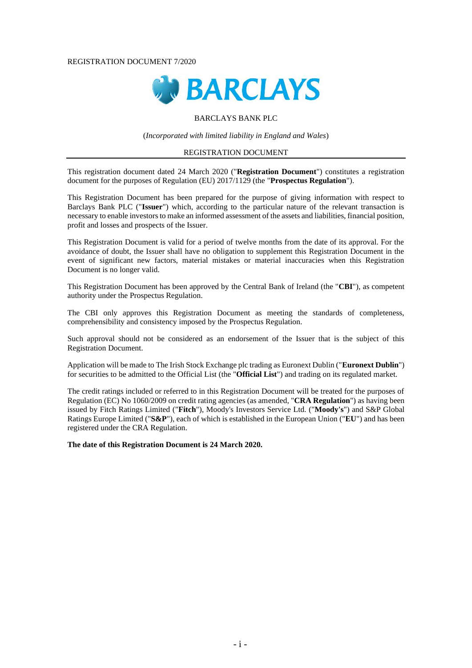### REGISTRATION DOCUMENT 7/2020



### BARCLAYS BANK PLC

(*Incorporated with limited liability in England and Wales*)

#### REGISTRATION DOCUMENT

This registration document dated 24 March 2020 ("**Registration Document**") constitutes a registration document for the purposes of Regulation (EU) 2017/1129 (the "**Prospectus Regulation**").

This Registration Document has been prepared for the purpose of giving information with respect to Barclays Bank PLC ("**Issuer**") which, according to the particular nature of the relevant transaction is necessary to enable investors to make an informed assessment of the assets and liabilities, financial position, profit and losses and prospects of the Issuer.

This Registration Document is valid for a period of twelve months from the date of its approval. For the avoidance of doubt, the Issuer shall have no obligation to supplement this Registration Document in the event of significant new factors, material mistakes or material inaccuracies when this Registration Document is no longer valid.

This Registration Document has been approved by the Central Bank of Ireland (the "**CBI**"), as competent authority under the Prospectus Regulation.

The CBI only approves this Registration Document as meeting the standards of completeness, comprehensibility and consistency imposed by the Prospectus Regulation.

Such approval should not be considered as an endorsement of the Issuer that is the subject of this Registration Document.

Application will be made to The Irish Stock Exchange plc trading as Euronext Dublin ("**Euronext Dublin**") for securities to be admitted to the Official List (the "**Official List**") and trading on its regulated market.

The credit ratings included or referred to in this Registration Document will be treated for the purposes of Regulation (EC) No 1060/2009 on credit rating agencies (as amended, "**CRA Regulation**") as having been issued by Fitch Ratings Limited ("**Fitch**"), Moody's Investors Service Ltd. ("**Moody's**") and S&P Global Ratings Europe Limited ("**S&P**"), each of which is established in the European Union ("**EU**") and has been registered under the CRA Regulation.

**The date of this Registration Document is 24 March 2020.**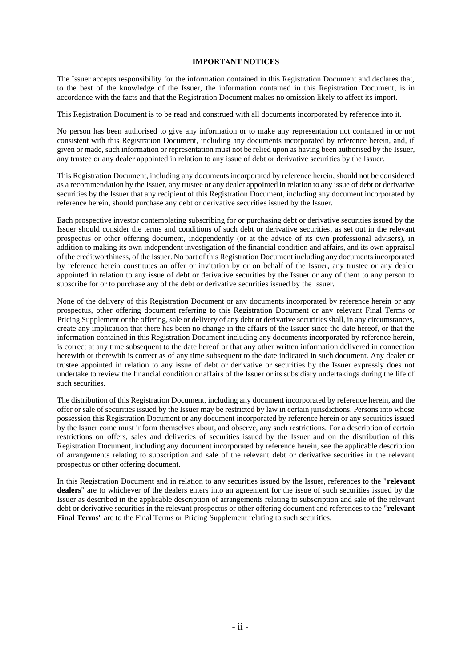### **IMPORTANT NOTICES**

The Issuer accepts responsibility for the information contained in this Registration Document and declares that, to the best of the knowledge of the Issuer, the information contained in this Registration Document, is in accordance with the facts and that the Registration Document makes no omission likely to affect its import.

This Registration Document is to be read and construed with all documents incorporated by reference into it.

No person has been authorised to give any information or to make any representation not contained in or not consistent with this Registration Document, including any documents incorporated by reference herein, and, if given or made, such information or representation must not be relied upon as having been authorised by the Issuer, any trustee or any dealer appointed in relation to any issue of debt or derivative securities by the Issuer.

This Registration Document, including any documents incorporated by reference herein, should not be considered as a recommendation by the Issuer, any trustee or any dealer appointed in relation to any issue of debt or derivative securities by the Issuer that any recipient of this Registration Document, including any document incorporated by reference herein, should purchase any debt or derivative securities issued by the Issuer.

Each prospective investor contemplating subscribing for or purchasing debt or derivative securities issued by the Issuer should consider the terms and conditions of such debt or derivative securities, as set out in the relevant prospectus or other offering document, independently (or at the advice of its own professional advisers), in addition to making its own independent investigation of the financial condition and affairs, and its own appraisal of the creditworthiness, of the Issuer. No part of this Registration Document including any documents incorporated by reference herein constitutes an offer or invitation by or on behalf of the Issuer, any trustee or any dealer appointed in relation to any issue of debt or derivative securities by the Issuer or any of them to any person to subscribe for or to purchase any of the debt or derivative securities issued by the Issuer.

None of the delivery of this Registration Document or any documents incorporated by reference herein or any prospectus, other offering document referring to this Registration Document or any relevant Final Terms or Pricing Supplement or the offering, sale or delivery of any debt or derivative securities shall, in any circumstances, create any implication that there has been no change in the affairs of the Issuer since the date hereof, or that the information contained in this Registration Document including any documents incorporated by reference herein, is correct at any time subsequent to the date hereof or that any other written information delivered in connection herewith or therewith is correct as of any time subsequent to the date indicated in such document. Any dealer or trustee appointed in relation to any issue of debt or derivative or securities by the Issuer expressly does not undertake to review the financial condition or affairs of the Issuer or its subsidiary undertakings during the life of such securities.

The distribution of this Registration Document, including any document incorporated by reference herein, and the offer or sale of securities issued by the Issuer may be restricted by law in certain jurisdictions. Persons into whose possession this Registration Document or any document incorporated by reference herein or any securities issued by the Issuer come must inform themselves about, and observe, any such restrictions. For a description of certain restrictions on offers, sales and deliveries of securities issued by the Issuer and on the distribution of this Registration Document, including any document incorporated by reference herein, see the applicable description of arrangements relating to subscription and sale of the relevant debt or derivative securities in the relevant prospectus or other offering document.

In this Registration Document and in relation to any securities issued by the Issuer, references to the "**relevant dealers**" are to whichever of the dealers enters into an agreement for the issue of such securities issued by the Issuer as described in the applicable description of arrangements relating to subscription and sale of the relevant debt or derivative securities in the relevant prospectus or other offering document and references to the "**relevant Final Terms**" are to the Final Terms or Pricing Supplement relating to such securities.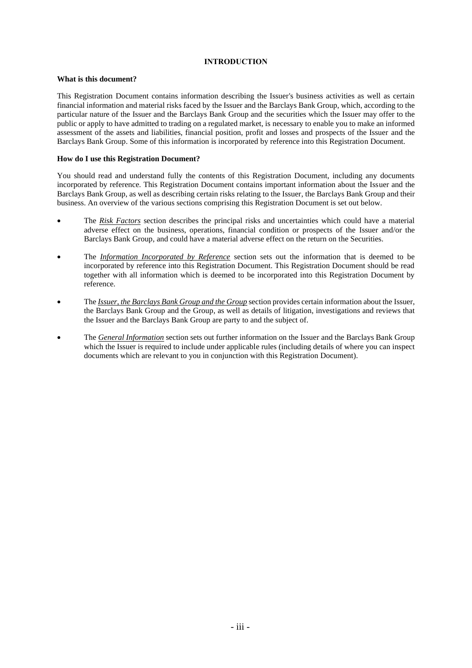## **INTRODUCTION**

### **What is this document?**

This Registration Document contains information describing the Issuer's business activities as well as certain financial information and material risks faced by the Issuer and the Barclays Bank Group, which, according to the particular nature of the Issuer and the Barclays Bank Group and the securities which the Issuer may offer to the public or apply to have admitted to trading on a regulated market, is necessary to enable you to make an informed assessment of the assets and liabilities, financial position, profit and losses and prospects of the Issuer and the Barclays Bank Group. Some of this information is incorporated by reference into this Registration Document.

### **How do I use this Registration Document?**

You should read and understand fully the contents of this Registration Document, including any documents incorporated by reference. This Registration Document contains important information about the Issuer and the Barclays Bank Group, as well as describing certain risks relating to the Issuer, the Barclays Bank Group and their business. An overview of the various sections comprising this Registration Document is set out below.

- The *Risk Factors* section describes the principal risks and uncertainties which could have a material adverse effect on the business, operations, financial condition or prospects of the Issuer and/or the Barclays Bank Group, and could have a material adverse effect on the return on the Securities.
- The *Information Incorporated by Reference* section sets out the information that is deemed to be incorporated by reference into this Registration Document. This Registration Document should be read together with all information which is deemed to be incorporated into this Registration Document by reference.
- The *Issuer, the Barclays Bank Group and the Group* section provides certain information about the Issuer, the Barclays Bank Group and the Group, as well as details of litigation, investigations and reviews that the Issuer and the Barclays Bank Group are party to and the subject of.
- The *General Information* section sets out further information on the Issuer and the Barclays Bank Group which the Issuer is required to include under applicable rules (including details of where you can inspect documents which are relevant to you in conjunction with this Registration Document).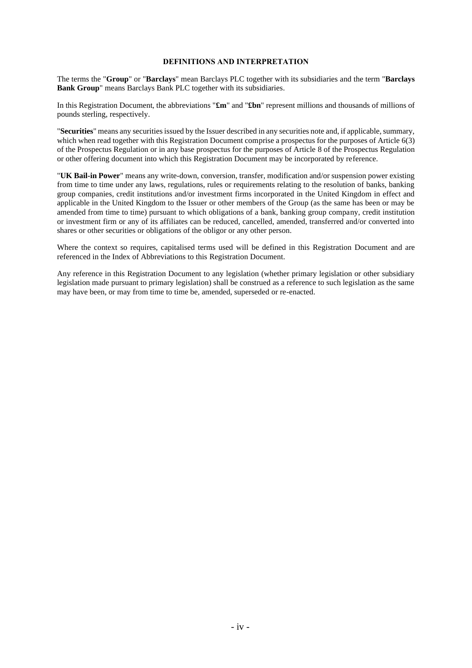### **DEFINITIONS AND INTERPRETATION**

The terms the "**Group**" or "**Barclays**" mean Barclays PLC together with its subsidiaries and the term "**Barclays Bank Group**" means Barclays Bank PLC together with its subsidiaries.

In this Registration Document, the abbreviations "**£m**" and "**£bn**" represent millions and thousands of millions of pounds sterling, respectively.

"**Securities**" means any securities issued by the Issuer described in any securities note and, if applicable, summary, which when read together with this Registration Document comprise a prospectus for the purposes of Article 6(3) of the Prospectus Regulation or in any base prospectus for the purposes of Article 8 of the Prospectus Regulation or other offering document into which this Registration Document may be incorporated by reference.

"**UK Bail-in Power**" means any write-down, conversion, transfer, modification and/or suspension power existing from time to time under any laws, regulations, rules or requirements relating to the resolution of banks, banking group companies, credit institutions and/or investment firms incorporated in the United Kingdom in effect and applicable in the United Kingdom to the Issuer or other members of the Group (as the same has been or may be amended from time to time) pursuant to which obligations of a bank, banking group company, credit institution or investment firm or any of its affiliates can be reduced, cancelled, amended, transferred and/or converted into shares or other securities or obligations of the obligor or any other person.

Where the context so requires, capitalised terms used will be defined in this Registration Document and are referenced in the Index of Abbreviations to this Registration Document.

Any reference in this Registration Document to any legislation (whether primary legislation or other subsidiary legislation made pursuant to primary legislation) shall be construed as a reference to such legislation as the same may have been, or may from time to time be, amended, superseded or re-enacted.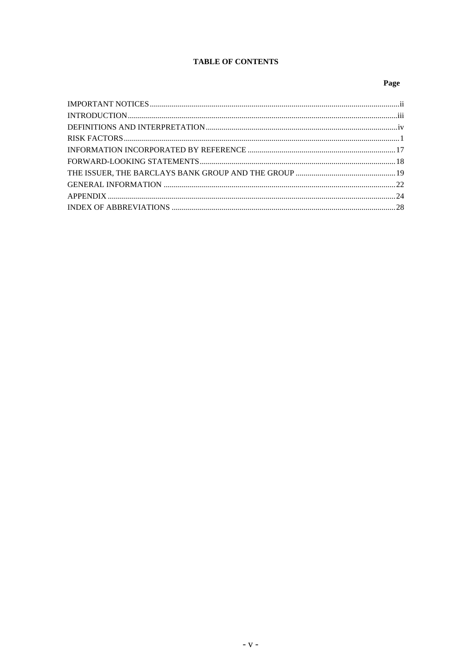# **TABLE OF CONTENTS**

# Page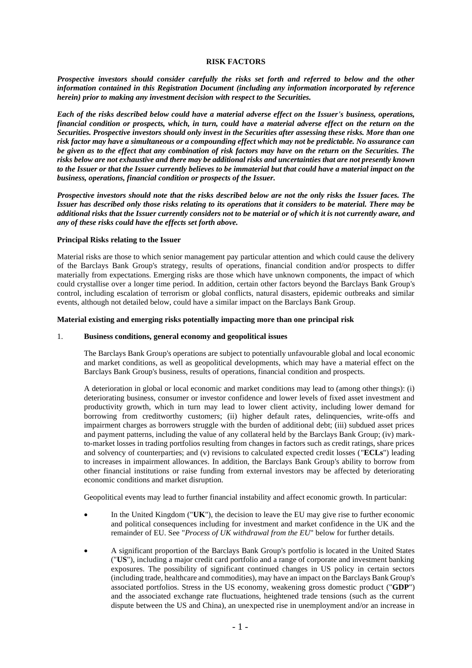### **RISK FACTORS**

*Prospective investors should consider carefully the risks set forth and referred to below and the other information contained in this Registration Document (including any information incorporated by reference herein) prior to making any investment decision with respect to the Securities.*

*Each of the risks described below could have a material adverse effect on the Issuer's business, operations, financial condition or prospects, which, in turn, could have a material adverse effect on the return on the Securities. Prospective investors should only invest in the Securities after assessing these risks. More than one risk factor may have a simultaneous or a compounding effect which may not be predictable. No assurance can be given as to the effect that any combination of risk factors may have on the return on the Securities. The risks below are not exhaustive and there may be additional risks and uncertainties that are not presently known to the Issuer or that the Issuer currently believes to be immaterial but that could have a material impact on the business, operations, financial condition or prospects of the Issuer.*

*Prospective investors should note that the risks described below are not the only risks the Issuer faces. The Issuer has described only those risks relating to its operations that it considers to be material. There may be additional risks that the Issuer currently considers not to be material or of which it is not currently aware, and any of these risks could have the effects set forth above.*

#### **Principal Risks relating to the Issuer**

Material risks are those to which senior management pay particular attention and which could cause the delivery of the Barclays Bank Group's strategy, results of operations, financial condition and/or prospects to differ materially from expectations. Emerging risks are those which have unknown components, the impact of which could crystallise over a longer time period. In addition, certain other factors beyond the Barclays Bank Group's control, including escalation of terrorism or global conflicts, natural disasters, epidemic outbreaks and similar events, although not detailed below, could have a similar impact on the Barclays Bank Group.

### **Material existing and emerging risks potentially impacting more than one principal risk**

### 1. **Business conditions, general economy and geopolitical issues**

The Barclays Bank Group's operations are subject to potentially unfavourable global and local economic and market conditions, as well as geopolitical developments, which may have a material effect on the Barclays Bank Group's business, results of operations, financial condition and prospects.

A deterioration in global or local economic and market conditions may lead to (among other things): (i) deteriorating business, consumer or investor confidence and lower levels of fixed asset investment and productivity growth, which in turn may lead to lower client activity, including lower demand for borrowing from creditworthy customers; (ii) higher default rates, delinquencies, write-offs and impairment charges as borrowers struggle with the burden of additional debt; (iii) subdued asset prices and payment patterns, including the value of any collateral held by the Barclays Bank Group; (iv) markto-market losses in trading portfolios resulting from changes in factors such as credit ratings, share prices and solvency of counterparties; and (v) revisions to calculated expected credit losses ("**ECLs**") leading to increases in impairment allowances. In addition, the Barclays Bank Group's ability to borrow from other financial institutions or raise funding from external investors may be affected by deteriorating economic conditions and market disruption.

Geopolitical events may lead to further financial instability and affect economic growth. In particular:

- In the United Kingdom ("**UK**"), the decision to leave the EU may give rise to further economic and political consequences including for investment and market confidence in the UK and the remainder of EU. See "*Process of UK withdrawal from the EU*" below for further details.
- A significant proportion of the Barclays Bank Group's portfolio is located in the United States ("**US**"), including a major credit card portfolio and a range of corporate and investment banking exposures. The possibility of significant continued changes in US policy in certain sectors (including trade, healthcare and commodities), may have an impact on the Barclays Bank Group's associated portfolios. Stress in the US economy, weakening gross domestic product ("**GDP**") and the associated exchange rate fluctuations, heightened trade tensions (such as the current dispute between the US and China), an unexpected rise in unemployment and/or an increase in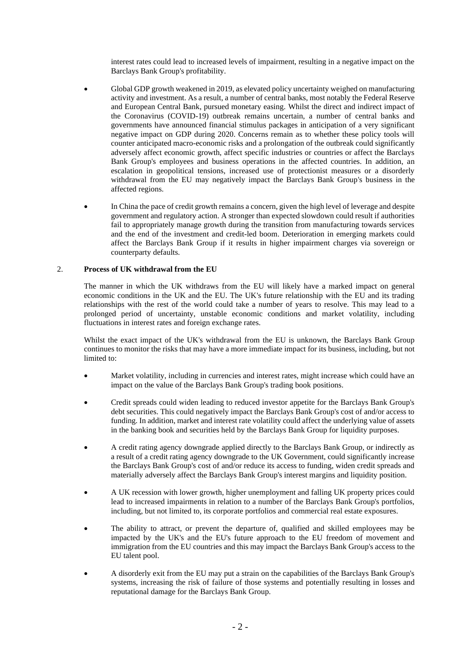interest rates could lead to increased levels of impairment, resulting in a negative impact on the Barclays Bank Group's profitability.

- Global GDP growth weakened in 2019, as elevated policy uncertainty weighed on manufacturing activity and investment. As a result, a number of central banks, most notably the Federal Reserve and European Central Bank, pursued monetary easing. Whilst the direct and indirect impact of the Coronavirus (COVID-19) outbreak remains uncertain, a number of central banks and governments have announced financial stimulus packages in anticipation of a very significant negative impact on GDP during 2020. Concerns remain as to whether these policy tools will counter anticipated macro-economic risks and a prolongation of the outbreak could significantly adversely affect economic growth, affect specific industries or countries or affect the Barclays Bank Group's employees and business operations in the affected countries. In addition, an escalation in geopolitical tensions, increased use of protectionist measures or a disorderly withdrawal from the EU may negatively impact the Barclays Bank Group's business in the affected regions.
- In China the pace of credit growth remains a concern, given the high level of leverage and despite government and regulatory action. A stronger than expected slowdown could result if authorities fail to appropriately manage growth during the transition from manufacturing towards services and the end of the investment and credit-led boom. Deterioration in emerging markets could affect the Barclays Bank Group if it results in higher impairment charges via sovereign or counterparty defaults.

### 2. **Process of UK withdrawal from the EU**

The manner in which the UK withdraws from the EU will likely have a marked impact on general economic conditions in the UK and the EU. The UK's future relationship with the EU and its trading relationships with the rest of the world could take a number of years to resolve. This may lead to a prolonged period of uncertainty, unstable economic conditions and market volatility, including fluctuations in interest rates and foreign exchange rates.

Whilst the exact impact of the UK's withdrawal from the EU is unknown, the Barclays Bank Group continues to monitor the risks that may have a more immediate impact for its business, including, but not limited to:

- Market volatility, including in currencies and interest rates, might increase which could have an impact on the value of the Barclays Bank Group's trading book positions.
- Credit spreads could widen leading to reduced investor appetite for the Barclays Bank Group's debt securities. This could negatively impact the Barclays Bank Group's cost of and/or access to funding. In addition, market and interest rate volatility could affect the underlying value of assets in the banking book and securities held by the Barclays Bank Group for liquidity purposes.
- A credit rating agency downgrade applied directly to the Barclays Bank Group, or indirectly as a result of a credit rating agency downgrade to the UK Government, could significantly increase the Barclays Bank Group's cost of and/or reduce its access to funding, widen credit spreads and materially adversely affect the Barclays Bank Group's interest margins and liquidity position.
- A UK recession with lower growth, higher unemployment and falling UK property prices could lead to increased impairments in relation to a number of the Barclays Bank Group's portfolios, including, but not limited to, its corporate portfolios and commercial real estate exposures.
- The ability to attract, or prevent the departure of, qualified and skilled employees may be impacted by the UK's and the EU's future approach to the EU freedom of movement and immigration from the EU countries and this may impact the Barclays Bank Group's access to the EU talent pool.
- A disorderly exit from the EU may put a strain on the capabilities of the Barclays Bank Group's systems, increasing the risk of failure of those systems and potentially resulting in losses and reputational damage for the Barclays Bank Group.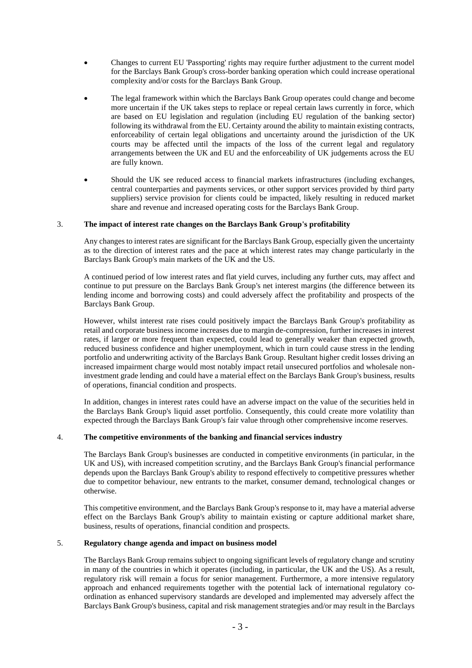- Changes to current EU 'Passporting' rights may require further adjustment to the current model for the Barclays Bank Group's cross-border banking operation which could increase operational complexity and/or costs for the Barclays Bank Group.
- The legal framework within which the Barclays Bank Group operates could change and become more uncertain if the UK takes steps to replace or repeal certain laws currently in force, which are based on EU legislation and regulation (including EU regulation of the banking sector) following its withdrawal from the EU. Certainty around the ability to maintain existing contracts, enforceability of certain legal obligations and uncertainty around the jurisdiction of the UK courts may be affected until the impacts of the loss of the current legal and regulatory arrangements between the UK and EU and the enforceability of UK judgements across the EU are fully known.
- Should the UK see reduced access to financial markets infrastructures (including exchanges, central counterparties and payments services, or other support services provided by third party suppliers) service provision for clients could be impacted, likely resulting in reduced market share and revenue and increased operating costs for the Barclays Bank Group.

## 3. **The impact of interest rate changes on the Barclays Bank Group's profitability**

Any changes to interest rates are significant for the Barclays Bank Group, especially given the uncertainty as to the direction of interest rates and the pace at which interest rates may change particularly in the Barclays Bank Group's main markets of the UK and the US.

A continued period of low interest rates and flat yield curves, including any further cuts, may affect and continue to put pressure on the Barclays Bank Group's net interest margins (the difference between its lending income and borrowing costs) and could adversely affect the profitability and prospects of the Barclays Bank Group.

However, whilst interest rate rises could positively impact the Barclays Bank Group's profitability as retail and corporate business income increases due to margin de-compression, further increases in interest rates, if larger or more frequent than expected, could lead to generally weaker than expected growth, reduced business confidence and higher unemployment, which in turn could cause stress in the lending portfolio and underwriting activity of the Barclays Bank Group. Resultant higher credit losses driving an increased impairment charge would most notably impact retail unsecured portfolios and wholesale noninvestment grade lending and could have a material effect on the Barclays Bank Group's business, results of operations, financial condition and prospects.

In addition, changes in interest rates could have an adverse impact on the value of the securities held in the Barclays Bank Group's liquid asset portfolio. Consequently, this could create more volatility than expected through the Barclays Bank Group's fair value through other comprehensive income reserves.

## 4. **The competitive environments of the banking and financial services industry**

The Barclays Bank Group's businesses are conducted in competitive environments (in particular, in the UK and US), with increased competition scrutiny, and the Barclays Bank Group's financial performance depends upon the Barclays Bank Group's ability to respond effectively to competitive pressures whether due to competitor behaviour, new entrants to the market, consumer demand, technological changes or otherwise.

This competitive environment, and the Barclays Bank Group's response to it, may have a material adverse effect on the Barclays Bank Group's ability to maintain existing or capture additional market share, business, results of operations, financial condition and prospects.

## 5. **Regulatory change agenda and impact on business model**

The Barclays Bank Group remains subject to ongoing significant levels of regulatory change and scrutiny in many of the countries in which it operates (including, in particular, the UK and the US). As a result, regulatory risk will remain a focus for senior management. Furthermore, a more intensive regulatory approach and enhanced requirements together with the potential lack of international regulatory coordination as enhanced supervisory standards are developed and implemented may adversely affect the Barclays Bank Group's business, capital and risk management strategies and/or may result in the Barclays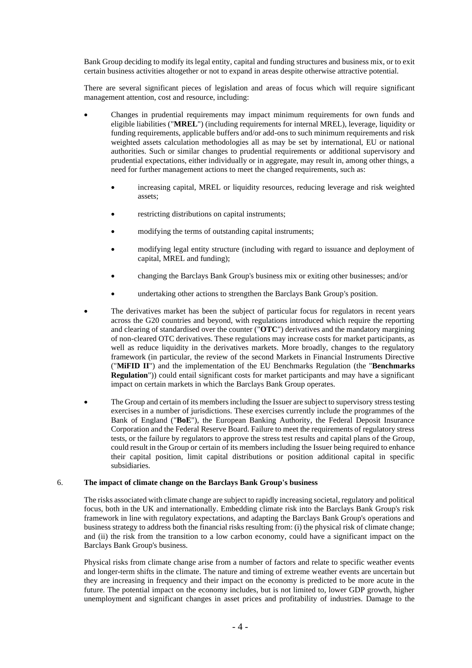Bank Group deciding to modify its legal entity, capital and funding structures and business mix, or to exit certain business activities altogether or not to expand in areas despite otherwise attractive potential.

There are several significant pieces of legislation and areas of focus which will require significant management attention, cost and resource, including:

- Changes in prudential requirements may impact minimum requirements for own funds and eligible liabilities ("**MREL**") (including requirements for internal MREL), leverage, liquidity or funding requirements, applicable buffers and/or add-ons to such minimum requirements and risk weighted assets calculation methodologies all as may be set by international, EU or national authorities. Such or similar changes to prudential requirements or additional supervisory and prudential expectations, either individually or in aggregate, may result in, among other things, a need for further management actions to meet the changed requirements, such as:
	- increasing capital, MREL or liquidity resources, reducing leverage and risk weighted assets;
	- restricting distributions on capital instruments;
	- modifying the terms of outstanding capital instruments;
	- modifying legal entity structure (including with regard to issuance and deployment of capital, MREL and funding);
	- changing the Barclays Bank Group's business mix or exiting other businesses; and/or
	- undertaking other actions to strengthen the Barclays Bank Group's position.
- The derivatives market has been the subject of particular focus for regulators in recent years across the G20 countries and beyond, with regulations introduced which require the reporting and clearing of standardised over the counter ("**OTC**") derivatives and the mandatory margining of non-cleared OTC derivatives. These regulations may increase costs for market participants, as well as reduce liquidity in the derivatives markets. More broadly, changes to the regulatory framework (in particular, the review of the second Markets in Financial Instruments Directive ("**MiFID II**") and the implementation of the EU Benchmarks Regulation (the "**Benchmarks Regulation**")) could entail significant costs for market participants and may have a significant impact on certain markets in which the Barclays Bank Group operates.
- The Group and certain of its members including the Issuer are subject to supervisory stress testing exercises in a number of jurisdictions. These exercises currently include the programmes of the Bank of England ("**BoE**"), the European Banking Authority, the Federal Deposit Insurance Corporation and the Federal Reserve Board. Failure to meet the requirements of regulatory stress tests, or the failure by regulators to approve the stress test results and capital plans of the Group, could result in the Group or certain of its members including the Issuer being required to enhance their capital position, limit capital distributions or position additional capital in specific subsidiaries.

### 6. **The impact of climate change on the Barclays Bank Group's business**

The risks associated with climate change are subject to rapidly increasing societal, regulatory and political focus, both in the UK and internationally. Embedding climate risk into the Barclays Bank Group's risk framework in line with regulatory expectations, and adapting the Barclays Bank Group's operations and business strategy to address both the financial risks resulting from: (i) the physical risk of climate change; and (ii) the risk from the transition to a low carbon economy, could have a significant impact on the Barclays Bank Group's business.

Physical risks from climate change arise from a number of factors and relate to specific weather events and longer-term shifts in the climate. The nature and timing of extreme weather events are uncertain but they are increasing in frequency and their impact on the economy is predicted to be more acute in the future. The potential impact on the economy includes, but is not limited to, lower GDP growth, higher unemployment and significant changes in asset prices and profitability of industries. Damage to the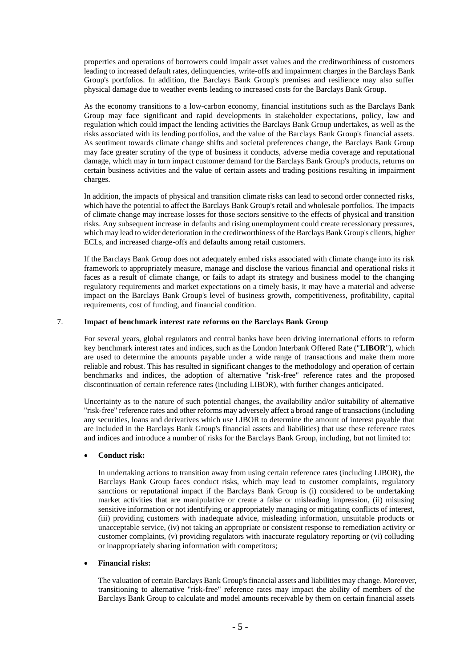properties and operations of borrowers could impair asset values and the creditworthiness of customers leading to increased default rates, delinquencies, write-offs and impairment charges in the Barclays Bank Group's portfolios. In addition, the Barclays Bank Group's premises and resilience may also suffer physical damage due to weather events leading to increased costs for the Barclays Bank Group.

As the economy transitions to a low-carbon economy, financial institutions such as the Barclays Bank Group may face significant and rapid developments in stakeholder expectations, policy, law and regulation which could impact the lending activities the Barclays Bank Group undertakes, as well as the risks associated with its lending portfolios, and the value of the Barclays Bank Group's financial assets. As sentiment towards climate change shifts and societal preferences change, the Barclays Bank Group may face greater scrutiny of the type of business it conducts, adverse media coverage and reputational damage, which may in turn impact customer demand for the Barclays Bank Group's products, returns on certain business activities and the value of certain assets and trading positions resulting in impairment charges.

In addition, the impacts of physical and transition climate risks can lead to second order connected risks, which have the potential to affect the Barclays Bank Group's retail and wholesale portfolios. The impacts of climate change may increase losses for those sectors sensitive to the effects of physical and transition risks. Any subsequent increase in defaults and rising unemployment could create recessionary pressures, which may lead to wider deterioration in the creditworthiness of the Barclays Bank Group's clients, higher ECLs, and increased charge-offs and defaults among retail customers.

If the Barclays Bank Group does not adequately embed risks associated with climate change into its risk framework to appropriately measure, manage and disclose the various financial and operational risks it faces as a result of climate change, or fails to adapt its strategy and business model to the changing regulatory requirements and market expectations on a timely basis, it may have a material and adverse impact on the Barclays Bank Group's level of business growth, competitiveness, profitability, capital requirements, cost of funding, and financial condition.

### 7. **Impact of benchmark interest rate reforms on the Barclays Bank Group**

For several years, global regulators and central banks have been driving international efforts to reform key benchmark interest rates and indices, such as the London Interbank Offered Rate ("**LIBOR**"), which are used to determine the amounts payable under a wide range of transactions and make them more reliable and robust. This has resulted in significant changes to the methodology and operation of certain benchmarks and indices, the adoption of alternative "risk-free" reference rates and the proposed discontinuation of certain reference rates (including LIBOR), with further changes anticipated.

Uncertainty as to the nature of such potential changes, the availability and/or suitability of alternative "risk-free" reference rates and other reforms may adversely affect a broad range of transactions (including any securities, loans and derivatives which use LIBOR to determine the amount of interest payable that are included in the Barclays Bank Group's financial assets and liabilities) that use these reference rates and indices and introduce a number of risks for the Barclays Bank Group, including, but not limited to:

## • **Conduct risk:**

In undertaking actions to transition away from using certain reference rates (including LIBOR), the Barclays Bank Group faces conduct risks, which may lead to customer complaints, regulatory sanctions or reputational impact if the Barclays Bank Group is (i) considered to be undertaking market activities that are manipulative or create a false or misleading impression, (ii) misusing sensitive information or not identifying or appropriately managing or mitigating conflicts of interest, (iii) providing customers with inadequate advice, misleading information, unsuitable products or unacceptable service, (iv) not taking an appropriate or consistent response to remediation activity or customer complaints, (v) providing regulators with inaccurate regulatory reporting or (vi) colluding or inappropriately sharing information with competitors;

#### • **Financial risks:**

The valuation of certain Barclays Bank Group's financial assets and liabilities may change. Moreover, transitioning to alternative "risk-free" reference rates may impact the ability of members of the Barclays Bank Group to calculate and model amounts receivable by them on certain financial assets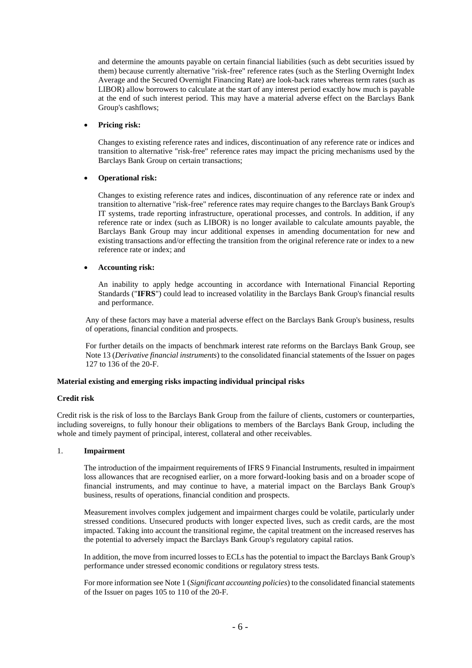and determine the amounts payable on certain financial liabilities (such as debt securities issued by them) because currently alternative "risk-free" reference rates (such as the Sterling Overnight Index Average and the Secured Overnight Financing Rate) are look-back rates whereas term rates (such as LIBOR) allow borrowers to calculate at the start of any interest period exactly how much is payable at the end of such interest period. This may have a material adverse effect on the Barclays Bank Group's cashflows;

### • **Pricing risk:**

Changes to existing reference rates and indices, discontinuation of any reference rate or indices and transition to alternative "risk-free" reference rates may impact the pricing mechanisms used by the Barclays Bank Group on certain transactions;

### • **Operational risk:**

Changes to existing reference rates and indices, discontinuation of any reference rate or index and transition to alternative "risk-free" reference rates may require changes to the Barclays Bank Group's IT systems, trade reporting infrastructure, operational processes, and controls. In addition, if any reference rate or index (such as LIBOR) is no longer available to calculate amounts payable, the Barclays Bank Group may incur additional expenses in amending documentation for new and existing transactions and/or effecting the transition from the original reference rate or index to a new reference rate or index; and

### • **Accounting risk:**

An inability to apply hedge accounting in accordance with International Financial Reporting Standards ("**IFRS**") could lead to increased volatility in the Barclays Bank Group's financial results and performance.

Any of these factors may have a material adverse effect on the Barclays Bank Group's business, results of operations, financial condition and prospects.

For further details on the impacts of benchmark interest rate reforms on the Barclays Bank Group, see Note 13 (*Derivative financial instruments*) to the consolidated financial statements of the Issuer on pages 127 to 136 of the 20-F.

### **Material existing and emerging risks impacting individual principal risks**

#### **Credit risk**

Credit risk is the risk of loss to the Barclays Bank Group from the failure of clients, customers or counterparties, including sovereigns, to fully honour their obligations to members of the Barclays Bank Group, including the whole and timely payment of principal, interest, collateral and other receivables.

### 1. **Impairment**

The introduction of the impairment requirements of IFRS 9 Financial Instruments, resulted in impairment loss allowances that are recognised earlier, on a more forward-looking basis and on a broader scope of financial instruments, and may continue to have, a material impact on the Barclays Bank Group's business, results of operations, financial condition and prospects.

Measurement involves complex judgement and impairment charges could be volatile, particularly under stressed conditions. Unsecured products with longer expected lives, such as credit cards, are the most impacted. Taking into account the transitional regime, the capital treatment on the increased reserves has the potential to adversely impact the Barclays Bank Group's regulatory capital ratios.

In addition, the move from incurred losses to ECLs has the potential to impact the Barclays Bank Group's performance under stressed economic conditions or regulatory stress tests.

For more information see Note 1 (*Significant accounting policies*) to the consolidated financial statements of the Issuer on pages 105 to 110 of the 20-F.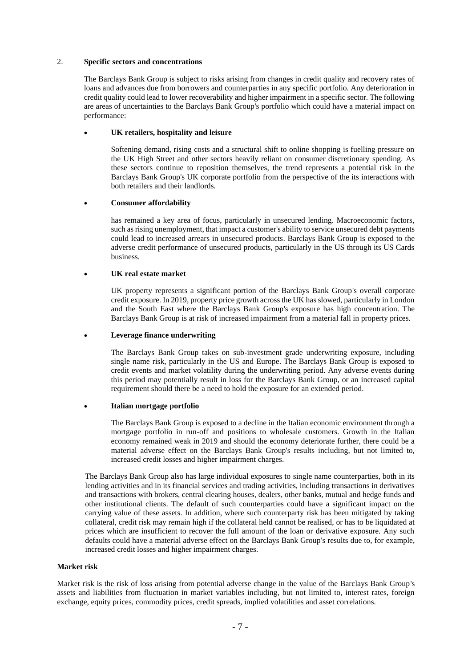### 2. **Specific sectors and concentrations**

The Barclays Bank Group is subject to risks arising from changes in credit quality and recovery rates of loans and advances due from borrowers and counterparties in any specific portfolio. Any deterioration in credit quality could lead to lower recoverability and higher impairment in a specific sector. The following are areas of uncertainties to the Barclays Bank Group's portfolio which could have a material impact on performance:

### • **UK retailers, hospitality and leisure**

Softening demand, rising costs and a structural shift to online shopping is fuelling pressure on the UK High Street and other sectors heavily reliant on consumer discretionary spending. As these sectors continue to reposition themselves, the trend represents a potential risk in the Barclays Bank Group's UK corporate portfolio from the perspective of the its interactions with both retailers and their landlords.

### • **Consumer affordability**

has remained a key area of focus, particularly in unsecured lending. Macroeconomic factors, such as rising unemployment, that impact a customer's ability to service unsecured debt payments could lead to increased arrears in unsecured products. Barclays Bank Group is exposed to the adverse credit performance of unsecured products, particularly in the US through its US Cards business.

### • **UK real estate market**

UK property represents a significant portion of the Barclays Bank Group's overall corporate credit exposure. In 2019, property price growth across the UK has slowed, particularly in London and the South East where the Barclays Bank Group's exposure has high concentration. The Barclays Bank Group is at risk of increased impairment from a material fall in property prices.

### • **Leverage finance underwriting**

The Barclays Bank Group takes on sub-investment grade underwriting exposure, including single name risk, particularly in the US and Europe. The Barclays Bank Group is exposed to credit events and market volatility during the underwriting period. Any adverse events during this period may potentially result in loss for the Barclays Bank Group, or an increased capital requirement should there be a need to hold the exposure for an extended period.

### • **Italian mortgage portfolio**

The Barclays Bank Group is exposed to a decline in the Italian economic environment through a mortgage portfolio in run-off and positions to wholesale customers. Growth in the Italian economy remained weak in 2019 and should the economy deteriorate further, there could be a material adverse effect on the Barclays Bank Group's results including, but not limited to, increased credit losses and higher impairment charges.

The Barclays Bank Group also has large individual exposures to single name counterparties, both in its lending activities and in its financial services and trading activities, including transactions in derivatives and transactions with brokers, central clearing houses, dealers, other banks, mutual and hedge funds and other institutional clients. The default of such counterparties could have a significant impact on the carrying value of these assets. In addition, where such counterparty risk has been mitigated by taking collateral, credit risk may remain high if the collateral held cannot be realised, or has to be liquidated at prices which are insufficient to recover the full amount of the loan or derivative exposure. Any such defaults could have a material adverse effect on the Barclays Bank Group's results due to, for example, increased credit losses and higher impairment charges.

### **Market risk**

Market risk is the risk of loss arising from potential adverse change in the value of the Barclays Bank Group's assets and liabilities from fluctuation in market variables including, but not limited to, interest rates, foreign exchange, equity prices, commodity prices, credit spreads, implied volatilities and asset correlations.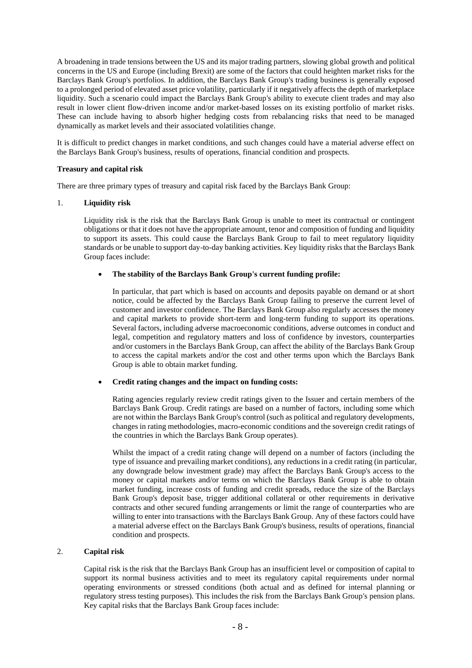A broadening in trade tensions between the US and its major trading partners, slowing global growth and political concerns in the US and Europe (including Brexit) are some of the factors that could heighten market risks for the Barclays Bank Group's portfolios. In addition, the Barclays Bank Group's trading business is generally exposed to a prolonged period of elevated asset price volatility, particularly if it negatively affects the depth of marketplace liquidity. Such a scenario could impact the Barclays Bank Group's ability to execute client trades and may also result in lower client flow-driven income and/or market-based losses on its existing portfolio of market risks. These can include having to absorb higher hedging costs from rebalancing risks that need to be managed dynamically as market levels and their associated volatilities change.

It is difficult to predict changes in market conditions, and such changes could have a material adverse effect on the Barclays Bank Group's business, results of operations, financial condition and prospects.

### **Treasury and capital risk**

There are three primary types of treasury and capital risk faced by the Barclays Bank Group:

### 1. **Liquidity risk**

Liquidity risk is the risk that the Barclays Bank Group is unable to meet its contractual or contingent obligations or that it does not have the appropriate amount, tenor and composition of funding and liquidity to support its assets. This could cause the Barclays Bank Group to fail to meet regulatory liquidity standards or be unable to support day-to-day banking activities. Key liquidity risks that the Barclays Bank Group faces include:

### • **The stability of the Barclays Bank Group's current funding profile:**

In particular, that part which is based on accounts and deposits payable on demand or at short notice, could be affected by the Barclays Bank Group failing to preserve the current level of customer and investor confidence. The Barclays Bank Group also regularly accesses the money and capital markets to provide short-term and long-term funding to support its operations. Several factors, including adverse macroeconomic conditions, adverse outcomes in conduct and legal, competition and regulatory matters and loss of confidence by investors, counterparties and/or customers in the Barclays Bank Group, can affect the ability of the Barclays Bank Group to access the capital markets and/or the cost and other terms upon which the Barclays Bank Group is able to obtain market funding.

#### • **Credit rating changes and the impact on funding costs:**

Rating agencies regularly review credit ratings given to the Issuer and certain members of the Barclays Bank Group. Credit ratings are based on a number of factors, including some which are not within the Barclays Bank Group's control (such as political and regulatory developments, changes in rating methodologies, macro-economic conditions and the sovereign credit ratings of the countries in which the Barclays Bank Group operates).

Whilst the impact of a credit rating change will depend on a number of factors (including the type of issuance and prevailing market conditions), any reductions in a credit rating (in particular, any downgrade below investment grade) may affect the Barclays Bank Group's access to the money or capital markets and/or terms on which the Barclays Bank Group is able to obtain market funding, increase costs of funding and credit spreads, reduce the size of the Barclays Bank Group's deposit base, trigger additional collateral or other requirements in derivative contracts and other secured funding arrangements or limit the range of counterparties who are willing to enter into transactions with the Barclays Bank Group. Any of these factors could have a material adverse effect on the Barclays Bank Group's business, results of operations, financial condition and prospects.

## 2. **Capital risk**

Capital risk is the risk that the Barclays Bank Group has an insufficient level or composition of capital to support its normal business activities and to meet its regulatory capital requirements under normal operating environments or stressed conditions (both actual and as defined for internal planning or regulatory stress testing purposes). This includes the risk from the Barclays Bank Group's pension plans. Key capital risks that the Barclays Bank Group faces include: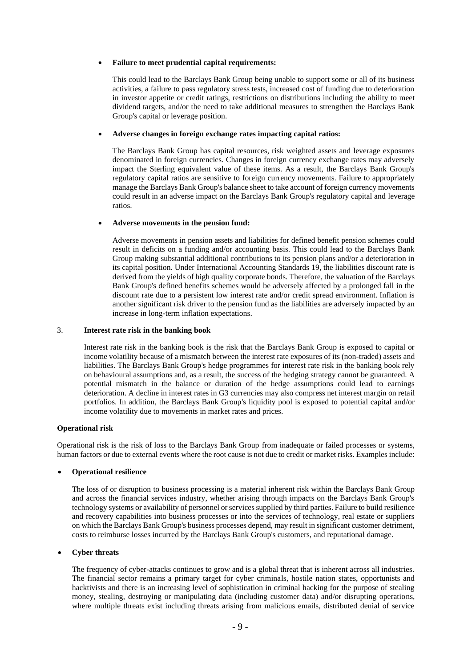### • **Failure to meet prudential capital requirements:**

This could lead to the Barclays Bank Group being unable to support some or all of its business activities, a failure to pass regulatory stress tests, increased cost of funding due to deterioration in investor appetite or credit ratings, restrictions on distributions including the ability to meet dividend targets, and/or the need to take additional measures to strengthen the Barclays Bank Group's capital or leverage position.

### • **Adverse changes in foreign exchange rates impacting capital ratios:**

The Barclays Bank Group has capital resources, risk weighted assets and leverage exposures denominated in foreign currencies. Changes in foreign currency exchange rates may adversely impact the Sterling equivalent value of these items. As a result, the Barclays Bank Group's regulatory capital ratios are sensitive to foreign currency movements. Failure to appropriately manage the Barclays Bank Group's balance sheet to take account of foreign currency movements could result in an adverse impact on the Barclays Bank Group's regulatory capital and leverage ratios.

### • **Adverse movements in the pension fund:**

Adverse movements in pension assets and liabilities for defined benefit pension schemes could result in deficits on a funding and/or accounting basis. This could lead to the Barclays Bank Group making substantial additional contributions to its pension plans and/or a deterioration in its capital position. Under International Accounting Standards 19, the liabilities discount rate is derived from the yields of high quality corporate bonds. Therefore, the valuation of the Barclays Bank Group's defined benefits schemes would be adversely affected by a prolonged fall in the discount rate due to a persistent low interest rate and/or credit spread environment. Inflation is another significant risk driver to the pension fund as the liabilities are adversely impacted by an increase in long-term inflation expectations.

#### 3. **Interest rate risk in the banking book**

Interest rate risk in the banking book is the risk that the Barclays Bank Group is exposed to capital or income volatility because of a mismatch between the interest rate exposures of its (non-traded) assets and liabilities. The Barclays Bank Group's hedge programmes for interest rate risk in the banking book rely on behavioural assumptions and, as a result, the success of the hedging strategy cannot be guaranteed. A potential mismatch in the balance or duration of the hedge assumptions could lead to earnings deterioration. A decline in interest rates in G3 currencies may also compress net interest margin on retail portfolios. In addition, the Barclays Bank Group's liquidity pool is exposed to potential capital and/or income volatility due to movements in market rates and prices.

#### **Operational risk**

Operational risk is the risk of loss to the Barclays Bank Group from inadequate or failed processes or systems, human factors or due to external events where the root cause is not due to credit or market risks. Examples include:

### • **Operational resilience**

The loss of or disruption to business processing is a material inherent risk within the Barclays Bank Group and across the financial services industry, whether arising through impacts on the Barclays Bank Group's technology systems or availability of personnel or services supplied by third parties. Failure to build resilience and recovery capabilities into business processes or into the services of technology, real estate or suppliers on which the Barclays Bank Group's business processes depend, may result in significant customer detriment, costs to reimburse losses incurred by the Barclays Bank Group's customers, and reputational damage.

### • **Cyber threats**

The frequency of cyber-attacks continues to grow and is a global threat that is inherent across all industries. The financial sector remains a primary target for cyber criminals, hostile nation states, opportunists and hacktivists and there is an increasing level of sophistication in criminal hacking for the purpose of stealing money, stealing, destroying or manipulating data (including customer data) and/or disrupting operations, where multiple threats exist including threats arising from malicious emails, distributed denial of service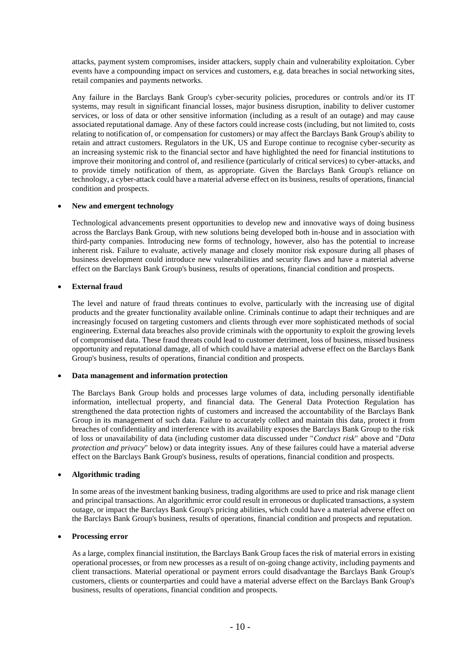attacks, payment system compromises, insider attackers, supply chain and vulnerability exploitation. Cyber events have a compounding impact on services and customers, e.g. data breaches in social networking sites, retail companies and payments networks.

Any failure in the Barclays Bank Group's cyber-security policies, procedures or controls and/or its IT systems, may result in significant financial losses, major business disruption, inability to deliver customer services, or loss of data or other sensitive information (including as a result of an outage) and may cause associated reputational damage. Any of these factors could increase costs (including, but not limited to, costs relating to notification of, or compensation for customers) or may affect the Barclays Bank Group's ability to retain and attract customers. Regulators in the UK, US and Europe continue to recognise cyber-security as an increasing systemic risk to the financial sector and have highlighted the need for financial institutions to improve their monitoring and control of, and resilience (particularly of critical services) to cyber-attacks, and to provide timely notification of them, as appropriate. Given the Barclays Bank Group's reliance on technology, a cyber-attack could have a material adverse effect on its business, results of operations, financial condition and prospects.

### • **New and emergent technology**

Technological advancements present opportunities to develop new and innovative ways of doing business across the Barclays Bank Group, with new solutions being developed both in-house and in association with third-party companies. Introducing new forms of technology, however, also has the potential to increase inherent risk. Failure to evaluate, actively manage and closely monitor risk exposure during all phases of business development could introduce new vulnerabilities and security flaws and have a material adverse effect on the Barclays Bank Group's business, results of operations, financial condition and prospects.

### • **External fraud**

The level and nature of fraud threats continues to evolve, particularly with the increasing use of digital products and the greater functionality available online. Criminals continue to adapt their techniques and are increasingly focused on targeting customers and clients through ever more sophisticated methods of social engineering. External data breaches also provide criminals with the opportunity to exploit the growing levels of compromised data. These fraud threats could lead to customer detriment, loss of business, missed business opportunity and reputational damage, all of which could have a material adverse effect on the Barclays Bank Group's business, results of operations, financial condition and prospects.

#### • **Data management and information protection**

The Barclays Bank Group holds and processes large volumes of data, including personally identifiable information, intellectual property, and financial data. The General Data Protection Regulation has strengthened the data protection rights of customers and increased the accountability of the Barclays Bank Group in its management of such data. Failure to accurately collect and maintain this data, protect it from breaches of confidentiality and interference with its availability exposes the Barclays Bank Group to the risk of loss or unavailability of data (including customer data discussed under "*Conduct risk*" above and "*Data protection and privacy*" below) or data integrity issues. Any of these failures could have a material adverse effect on the Barclays Bank Group's business, results of operations, financial condition and prospects.

#### • **Algorithmic trading**

In some areas of the investment banking business, trading algorithms are used to price and risk manage client and principal transactions. An algorithmic error could result in erroneous or duplicated transactions, a system outage, or impact the Barclays Bank Group's pricing abilities, which could have a material adverse effect on the Barclays Bank Group's business, results of operations, financial condition and prospects and reputation.

#### • **Processing error**

As a large, complex financial institution, the Barclays Bank Group faces the risk of material errors in existing operational processes, or from new processes as a result of on-going change activity, including payments and client transactions. Material operational or payment errors could disadvantage the Barclays Bank Group's customers, clients or counterparties and could have a material adverse effect on the Barclays Bank Group's business, results of operations, financial condition and prospects.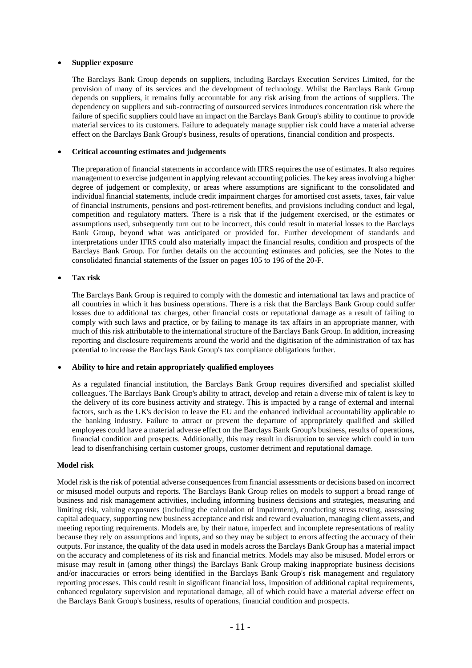### • **Supplier exposure**

The Barclays Bank Group depends on suppliers, including Barclays Execution Services Limited, for the provision of many of its services and the development of technology. Whilst the Barclays Bank Group depends on suppliers, it remains fully accountable for any risk arising from the actions of suppliers. The dependency on suppliers and sub-contracting of outsourced services introduces concentration risk where the failure of specific suppliers could have an impact on the Barclays Bank Group's ability to continue to provide material services to its customers. Failure to adequately manage supplier risk could have a material adverse effect on the Barclays Bank Group's business, results of operations, financial condition and prospects.

### • **Critical accounting estimates and judgements**

The preparation of financial statements in accordance with IFRS requires the use of estimates. It also requires management to exercise judgement in applying relevant accounting policies. The key areas involving a higher degree of judgement or complexity, or areas where assumptions are significant to the consolidated and individual financial statements, include credit impairment charges for amortised cost assets, taxes, fair value of financial instruments, pensions and post-retirement benefits, and provisions including conduct and legal, competition and regulatory matters. There is a risk that if the judgement exercised, or the estimates or assumptions used, subsequently turn out to be incorrect, this could result in material losses to the Barclays Bank Group, beyond what was anticipated or provided for. Further development of standards and interpretations under IFRS could also materially impact the financial results, condition and prospects of the Barclays Bank Group. For further details on the accounting estimates and policies, see the Notes to the consolidated financial statements of the Issuer on pages 105 to 196 of the 20-F.

### • **Tax risk**

The Barclays Bank Group is required to comply with the domestic and international tax laws and practice of all countries in which it has business operations. There is a risk that the Barclays Bank Group could suffer losses due to additional tax charges, other financial costs or reputational damage as a result of failing to comply with such laws and practice, or by failing to manage its tax affairs in an appropriate manner, with much of this risk attributable to the international structure of the Barclays Bank Group. In addition, increasing reporting and disclosure requirements around the world and the digitisation of the administration of tax has potential to increase the Barclays Bank Group's tax compliance obligations further.

#### • **Ability to hire and retain appropriately qualified employees**

As a regulated financial institution, the Barclays Bank Group requires diversified and specialist skilled colleagues. The Barclays Bank Group's ability to attract, develop and retain a diverse mix of talent is key to the delivery of its core business activity and strategy. This is impacted by a range of external and internal factors, such as the UK's decision to leave the EU and the enhanced individual accountability applicable to the banking industry. Failure to attract or prevent the departure of appropriately qualified and skilled employees could have a material adverse effect on the Barclays Bank Group's business, results of operations, financial condition and prospects. Additionally, this may result in disruption to service which could in turn lead to disenfranchising certain customer groups, customer detriment and reputational damage.

#### **Model risk**

Model risk is the risk of potential adverse consequences from financial assessments or decisions based on incorrect or misused model outputs and reports. The Barclays Bank Group relies on models to support a broad range of business and risk management activities, including informing business decisions and strategies, measuring and limiting risk, valuing exposures (including the calculation of impairment), conducting stress testing, assessing capital adequacy, supporting new business acceptance and risk and reward evaluation, managing client assets, and meeting reporting requirements. Models are, by their nature, imperfect and incomplete representations of reality because they rely on assumptions and inputs, and so they may be subject to errors affecting the accuracy of their outputs. For instance, the quality of the data used in models across the Barclays Bank Group has a material impact on the accuracy and completeness of its risk and financial metrics. Models may also be misused. Model errors or misuse may result in (among other things) the Barclays Bank Group making inappropriate business decisions and/or inaccuracies or errors being identified in the Barclays Bank Group's risk management and regulatory reporting processes. This could result in significant financial loss, imposition of additional capital requirements, enhanced regulatory supervision and reputational damage, all of which could have a material adverse effect on the Barclays Bank Group's business, results of operations, financial condition and prospects.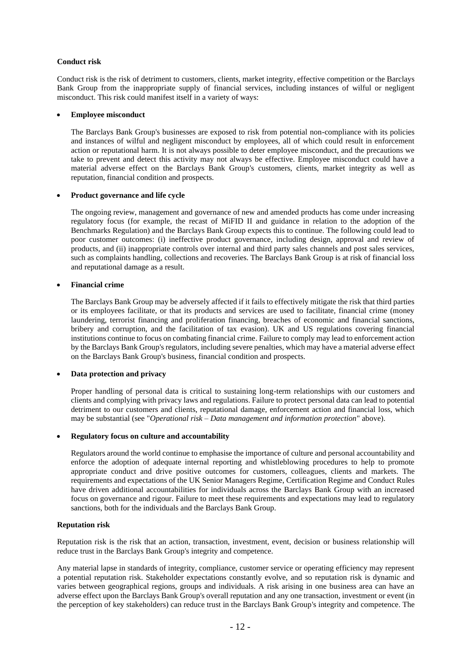## **Conduct risk**

Conduct risk is the risk of detriment to customers, clients, market integrity, effective competition or the Barclays Bank Group from the inappropriate supply of financial services, including instances of wilful or negligent misconduct. This risk could manifest itself in a variety of ways:

### • **Employee misconduct**

The Barclays Bank Group's businesses are exposed to risk from potential non-compliance with its policies and instances of wilful and negligent misconduct by employees, all of which could result in enforcement action or reputational harm. It is not always possible to deter employee misconduct, and the precautions we take to prevent and detect this activity may not always be effective. Employee misconduct could have a material adverse effect on the Barclays Bank Group's customers, clients, market integrity as well as reputation, financial condition and prospects.

### • **Product governance and life cycle**

The ongoing review, management and governance of new and amended products has come under increasing regulatory focus (for example, the recast of MiFID II and guidance in relation to the adoption of the Benchmarks Regulation) and the Barclays Bank Group expects this to continue. The following could lead to poor customer outcomes: (i) ineffective product governance, including design, approval and review of products, and (ii) inappropriate controls over internal and third party sales channels and post sales services, such as complaints handling, collections and recoveries. The Barclays Bank Group is at risk of financial loss and reputational damage as a result.

### • **Financial crime**

The Barclays Bank Group may be adversely affected if it fails to effectively mitigate the risk that third parties or its employees facilitate, or that its products and services are used to facilitate, financial crime (money laundering, terrorist financing and proliferation financing, breaches of economic and financial sanctions, bribery and corruption, and the facilitation of tax evasion). UK and US regulations covering financial institutions continue to focus on combating financial crime. Failure to comply may lead to enforcement action by the Barclays Bank Group's regulators, including severe penalties, which may have a material adverse effect on the Barclays Bank Group's business, financial condition and prospects.

### • **Data protection and privacy**

Proper handling of personal data is critical to sustaining long-term relationships with our customers and clients and complying with privacy laws and regulations. Failure to protect personal data can lead to potential detriment to our customers and clients, reputational damage, enforcement action and financial loss, which may be substantial (see "*Operational risk – Data management and information protection*" above).

### • **Regulatory focus on culture and accountability**

Regulators around the world continue to emphasise the importance of culture and personal accountability and enforce the adoption of adequate internal reporting and whistleblowing procedures to help to promote appropriate conduct and drive positive outcomes for customers, colleagues, clients and markets. The requirements and expectations of the UK Senior Managers Regime, Certification Regime and Conduct Rules have driven additional accountabilities for individuals across the Barclays Bank Group with an increased focus on governance and rigour. Failure to meet these requirements and expectations may lead to regulatory sanctions, both for the individuals and the Barclays Bank Group.

## **Reputation risk**

Reputation risk is the risk that an action, transaction, investment, event, decision or business relationship will reduce trust in the Barclays Bank Group's integrity and competence.

Any material lapse in standards of integrity, compliance, customer service or operating efficiency may represent a potential reputation risk. Stakeholder expectations constantly evolve, and so reputation risk is dynamic and varies between geographical regions, groups and individuals. A risk arising in one business area can have an adverse effect upon the Barclays Bank Group's overall reputation and any one transaction, investment or event (in the perception of key stakeholders) can reduce trust in the Barclays Bank Group's integrity and competence. The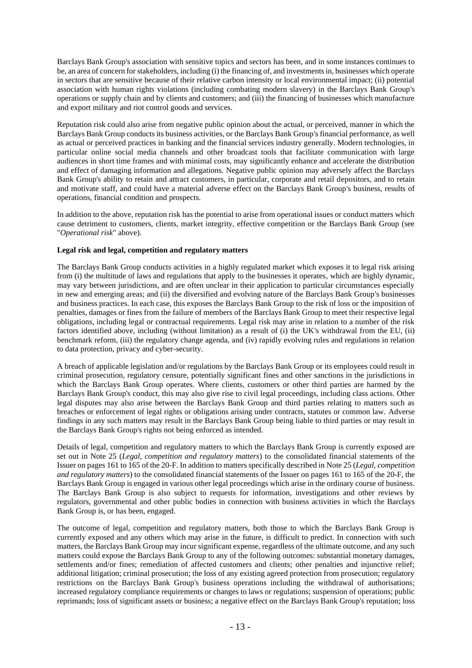Barclays Bank Group's association with sensitive topics and sectors has been, and in some instances continues to be, an area of concern for stakeholders, including (i) the financing of, and investments in, businesses which operate in sectors that are sensitive because of their relative carbon intensity or local environmental impact; (ii) potential association with human rights violations (including combating modern slavery) in the Barclays Bank Group's operations or supply chain and by clients and customers; and (iii) the financing of businesses which manufacture and export military and riot control goods and services.

Reputation risk could also arise from negative public opinion about the actual, or perceived, manner in which the Barclays Bank Group conducts its business activities, or the Barclays Bank Group's financial performance, as well as actual or perceived practices in banking and the financial services industry generally. Modern technologies, in particular online social media channels and other broadcast tools that facilitate communication with large audiences in short time frames and with minimal costs, may significantly enhance and accelerate the distribution and effect of damaging information and allegations. Negative public opinion may adversely affect the Barclays Bank Group's ability to retain and attract customers, in particular, corporate and retail depositors, and to retain and motivate staff, and could have a material adverse effect on the Barclays Bank Group's business, results of operations, financial condition and prospects.

In addition to the above, reputation risk has the potential to arise from operational issues or conduct matters which cause detriment to customers, clients, market integrity, effective competition or the Barclays Bank Group (see "*Operational risk*" above).

## **Legal risk and legal, competition and regulatory matters**

The Barclays Bank Group conducts activities in a highly regulated market which exposes it to legal risk arising from (i) the multitude of laws and regulations that apply to the businesses it operates, which are highly dynamic, may vary between jurisdictions, and are often unclear in their application to particular circumstances especially in new and emerging areas; and (ii) the diversified and evolving nature of the Barclays Bank Group's businesses and business practices. In each case, this exposes the Barclays Bank Group to the risk of loss or the imposition of penalties, damages or fines from the failure of members of the Barclays Bank Group to meet their respective legal obligations, including legal or contractual requirements. Legal risk may arise in relation to a number of the risk factors identified above, including (without limitation) as a result of (i) the UK's withdrawal from the EU, (ii) benchmark reform, (iii) the regulatory change agenda, and (iv) rapidly evolving rules and regulations in relation to data protection, privacy and cyber-security.

A breach of applicable legislation and/or regulations by the Barclays Bank Group or its employees could result in criminal prosecution, regulatory censure, potentially significant fines and other sanctions in the jurisdictions in which the Barclays Bank Group operates. Where clients, customers or other third parties are harmed by the Barclays Bank Group's conduct, this may also give rise to civil legal proceedings, including class actions. Other legal disputes may also arise between the Barclays Bank Group and third parties relating to matters such as breaches or enforcement of legal rights or obligations arising under contracts, statutes or common law. Adverse findings in any such matters may result in the Barclays Bank Group being liable to third parties or may result in the Barclays Bank Group's rights not being enforced as intended.

Details of legal, competition and regulatory matters to which the Barclays Bank Group is currently exposed are set out in Note 25 (*Legal, competition and regulatory matters*) to the consolidated financial statements of the Issuer on pages 161 to 165 of the 20-F. In addition to matters specifically described in Note 25 (*Legal, competition and regulatory matters*) to the consolidated financial statements of the Issuer on pages 161 to 165 of the 20-F, the Barclays Bank Group is engaged in various other legal proceedings which arise in the ordinary course of business. The Barclays Bank Group is also subject to requests for information, investigations and other reviews by regulators, governmental and other public bodies in connection with business activities in which the Barclays Bank Group is, or has been, engaged.

The outcome of legal, competition and regulatory matters, both those to which the Barclays Bank Group is currently exposed and any others which may arise in the future, is difficult to predict. In connection with such matters, the Barclays Bank Group may incur significant expense, regardless of the ultimate outcome, and any such matters could expose the Barclays Bank Group to any of the following outcomes: substantial monetary damages, settlements and/or fines; remediation of affected customers and clients; other penalties and injunctive relief; additional litigation; criminal prosecution; the loss of any existing agreed protection from prosecution; regulatory restrictions on the Barclays Bank Group's business operations including the withdrawal of authorisations; increased regulatory compliance requirements or changes to laws or regulations; suspension of operations; public reprimands; loss of significant assets or business; a negative effect on the Barclays Bank Group's reputation; loss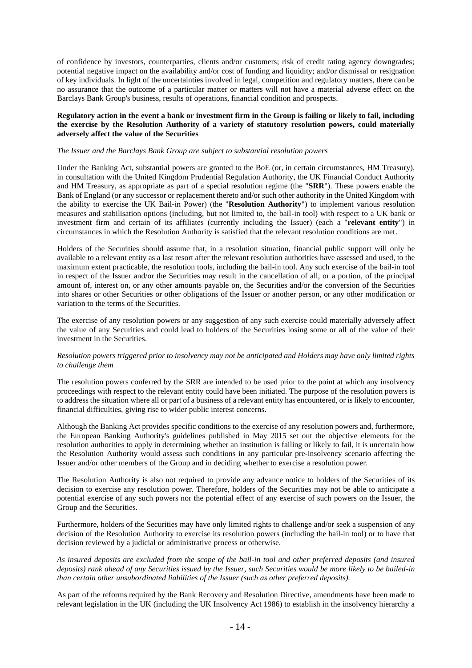of confidence by investors, counterparties, clients and/or customers; risk of credit rating agency downgrades; potential negative impact on the availability and/or cost of funding and liquidity; and/or dismissal or resignation of key individuals. In light of the uncertainties involved in legal, competition and regulatory matters, there can be no assurance that the outcome of a particular matter or matters will not have a material adverse effect on the Barclays Bank Group's business, results of operations, financial condition and prospects.

## **Regulatory action in the event a bank or investment firm in the Group is failing or likely to fail, including the exercise by the Resolution Authority of a variety of statutory resolution powers, could materially adversely affect the value of the Securities**

#### *The Issuer and the Barclays Bank Group are subject to substantial resolution powers*

Under the Banking Act, substantial powers are granted to the BoE (or, in certain circumstances, HM Treasury), in consultation with the United Kingdom Prudential Regulation Authority, the UK Financial Conduct Authority and HM Treasury, as appropriate as part of a special resolution regime (the "**SRR**"). These powers enable the Bank of England (or any successor or replacement thereto and/or such other authority in the United Kingdom with the ability to exercise the UK Bail-in Power) (the "**Resolution Authority**") to implement various resolution measures and stabilisation options (including, but not limited to, the bail-in tool) with respect to a UK bank or investment firm and certain of its affiliates (currently including the Issuer) (each a "**relevant entity**") in circumstances in which the Resolution Authority is satisfied that the relevant resolution conditions are met.

Holders of the Securities should assume that, in a resolution situation, financial public support will only be available to a relevant entity as a last resort after the relevant resolution authorities have assessed and used, to the maximum extent practicable, the resolution tools, including the bail-in tool. Any such exercise of the bail-in tool in respect of the Issuer and/or the Securities may result in the cancellation of all, or a portion, of the principal amount of, interest on, or any other amounts payable on, the Securities and/or the conversion of the Securities into shares or other Securities or other obligations of the Issuer or another person, or any other modification or variation to the terms of the Securities.

The exercise of any resolution powers or any suggestion of any such exercise could materially adversely affect the value of any Securities and could lead to holders of the Securities losing some or all of the value of their investment in the Securities.

### *Resolution powers triggered prior to insolvency may not be anticipated and Holders may have only limited rights to challenge them*

The resolution powers conferred by the SRR are intended to be used prior to the point at which any insolvency proceedings with respect to the relevant entity could have been initiated. The purpose of the resolution powers is to address the situation where all or part of a business of a relevant entity has encountered, or is likely to encounter, financial difficulties, giving rise to wider public interest concerns.

Although the Banking Act provides specific conditions to the exercise of any resolution powers and, furthermore, the European Banking Authority's guidelines published in May 2015 set out the objective elements for the resolution authorities to apply in determining whether an institution is failing or likely to fail, it is uncertain how the Resolution Authority would assess such conditions in any particular pre-insolvency scenario affecting the Issuer and/or other members of the Group and in deciding whether to exercise a resolution power.

The Resolution Authority is also not required to provide any advance notice to holders of the Securities of its decision to exercise any resolution power. Therefore, holders of the Securities may not be able to anticipate a potential exercise of any such powers nor the potential effect of any exercise of such powers on the Issuer, the Group and the Securities.

Furthermore, holders of the Securities may have only limited rights to challenge and/or seek a suspension of any decision of the Resolution Authority to exercise its resolution powers (including the bail-in tool) or to have that decision reviewed by a judicial or administrative process or otherwise.

*As insured deposits are excluded from the scope of the bail-in tool and other preferred deposits (and insured deposits) rank ahead of any Securities issued by the Issuer, such Securities would be more likely to be bailed-in than certain other unsubordinated liabilities of the Issuer (such as other preferred deposits).*

As part of the reforms required by the Bank Recovery and Resolution Directive, amendments have been made to relevant legislation in the UK (including the UK Insolvency Act 1986) to establish in the insolvency hierarchy a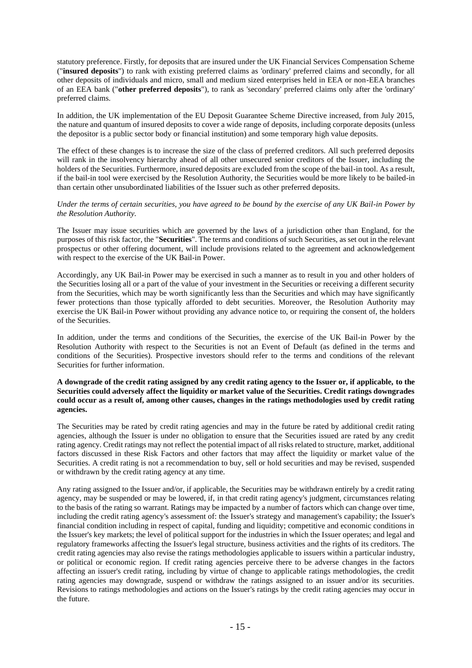statutory preference. Firstly, for deposits that are insured under the UK Financial Services Compensation Scheme ("**insured deposits**") to rank with existing preferred claims as 'ordinary' preferred claims and secondly, for all other deposits of individuals and micro, small and medium sized enterprises held in EEA or non-EEA branches of an EEA bank ("**other preferred deposits**"), to rank as 'secondary' preferred claims only after the 'ordinary' preferred claims.

In addition, the UK implementation of the EU Deposit Guarantee Scheme Directive increased, from July 2015, the nature and quantum of insured deposits to cover a wide range of deposits, including corporate deposits (unless the depositor is a public sector body or financial institution) and some temporary high value deposits.

The effect of these changes is to increase the size of the class of preferred creditors. All such preferred deposits will rank in the insolvency hierarchy ahead of all other unsecured senior creditors of the Issuer, including the holders of the Securities. Furthermore, insured deposits are excluded from the scope of the bail-in tool. As a result, if the bail-in tool were exercised by the Resolution Authority, the Securities would be more likely to be bailed-in than certain other unsubordinated liabilities of the Issuer such as other preferred deposits.

### *Under the terms of certain securities, you have agreed to be bound by the exercise of any UK Bail-in Power by the Resolution Authority.*

The Issuer may issue securities which are governed by the laws of a jurisdiction other than England, for the purposes of this risk factor, the "**Securities**". The terms and conditions of such Securities, as set out in the relevant prospectus or other offering document, will include provisions related to the agreement and acknowledgement with respect to the exercise of the UK Bail-in Power.

Accordingly, any UK Bail-in Power may be exercised in such a manner as to result in you and other holders of the Securities losing all or a part of the value of your investment in the Securities or receiving a different security from the Securities, which may be worth significantly less than the Securities and which may have significantly fewer protections than those typically afforded to debt securities. Moreover, the Resolution Authority may exercise the UK Bail-in Power without providing any advance notice to, or requiring the consent of, the holders of the Securities.

In addition, under the terms and conditions of the Securities, the exercise of the UK Bail-in Power by the Resolution Authority with respect to the Securities is not an Event of Default (as defined in the terms and conditions of the Securities). Prospective investors should refer to the terms and conditions of the relevant Securities for further information.

### **A downgrade of the credit rating assigned by any credit rating agency to the Issuer or, if applicable, to the Securities could adversely affect the liquidity or market value of the Securities. Credit ratings downgrades could occur as a result of, among other causes, changes in the ratings methodologies used by credit rating agencies.**

The Securities may be rated by credit rating agencies and may in the future be rated by additional credit rating agencies, although the Issuer is under no obligation to ensure that the Securities issued are rated by any credit rating agency. Credit ratings may not reflect the potential impact of all risks related to structure, market, additional factors discussed in these Risk Factors and other factors that may affect the liquidity or market value of the Securities. A credit rating is not a recommendation to buy, sell or hold securities and may be revised, suspended or withdrawn by the credit rating agency at any time.

Any rating assigned to the Issuer and/or, if applicable, the Securities may be withdrawn entirely by a credit rating agency, may be suspended or may be lowered, if, in that credit rating agency's judgment, circumstances relating to the basis of the rating so warrant. Ratings may be impacted by a number of factors which can change over time, including the credit rating agency's assessment of: the Issuer's strategy and management's capability; the Issuer's financial condition including in respect of capital, funding and liquidity; competitive and economic conditions in the Issuer's key markets; the level of political support for the industries in which the Issuer operates; and legal and regulatory frameworks affecting the Issuer's legal structure, business activities and the rights of its creditors. The credit rating agencies may also revise the ratings methodologies applicable to issuers within a particular industry, or political or economic region. If credit rating agencies perceive there to be adverse changes in the factors affecting an issuer's credit rating, including by virtue of change to applicable ratings methodologies, the credit rating agencies may downgrade, suspend or withdraw the ratings assigned to an issuer and/or its securities. Revisions to ratings methodologies and actions on the Issuer's ratings by the credit rating agencies may occur in the future.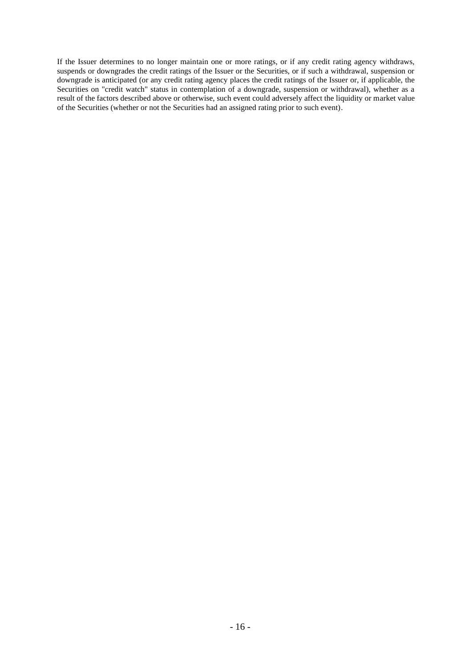If the Issuer determines to no longer maintain one or more ratings, or if any credit rating agency withdraws, suspends or downgrades the credit ratings of the Issuer or the Securities, or if such a withdrawal, suspension or downgrade is anticipated (or any credit rating agency places the credit ratings of the Issuer or, if applicable, the Securities on "credit watch" status in contemplation of a downgrade, suspension or withdrawal), whether as a result of the factors described above or otherwise, such event could adversely affect the liquidity or market value of the Securities (whether or not the Securities had an assigned rating prior to such event).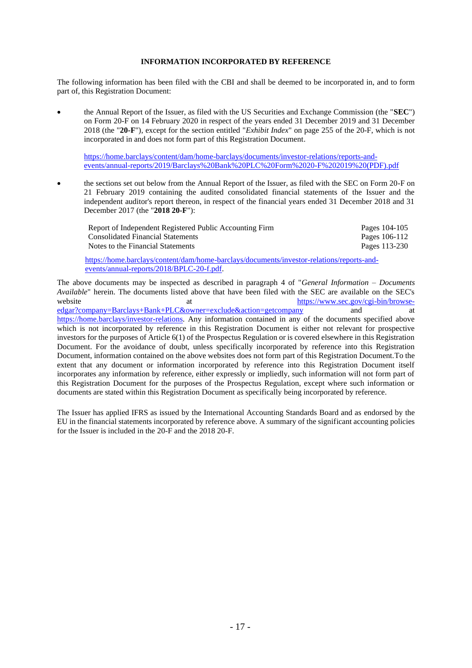## **INFORMATION INCORPORATED BY REFERENCE**

The following information has been filed with the CBI and shall be deemed to be incorporated in, and to form part of, this Registration Document:

• the Annual Report of the Issuer, as filed with the US Securities and Exchange Commission (the "**SEC**") on Form 20-F on 14 February 2020 in respect of the years ended 31 December 2019 and 31 December 2018 (the "**20-F**"), except for the section entitled "*Exhibit Index*" on page 255 of the 20-F, which is not incorporated in and does not form part of this Registration Document.

[https://home.barclays/content/dam/home-barclays/documents/investor-relations/reports-and](https://home.barclays/content/dam/home-barclays/documents/investor-relations/reports-and-events/annual-reports/2019/Barclays%20Bank%20PLC%20Form%2020-F%202019%20(PDF).pdf)[events/annual-reports/2019/Barclays%20Bank%20PLC%20Form%2020-F%202019%20\(PDF\).pdf](https://home.barclays/content/dam/home-barclays/documents/investor-relations/reports-and-events/annual-reports/2019/Barclays%20Bank%20PLC%20Form%2020-F%202019%20(PDF).pdf)

• the sections set out below from the Annual Report of the Issuer, as filed with the SEC on Form 20-F on 21 February 2019 containing the audited consolidated financial statements of the Issuer and the independent auditor's report thereon, in respect of the financial years ended 31 December 2018 and 31 December 2017 (the "**2018 20-F**"):

| Report of Independent Registered Public Accounting Firm | Pages 104-105 |
|---------------------------------------------------------|---------------|
| <b>Consolidated Financial Statements</b>                | Pages 106-112 |
| Notes to the Financial Statements                       | Pages 113-230 |
|                                                         |               |

[https://home.barclays/content/dam/home-barclays/documents/investor-relations/reports-and](https://home.barclays/content/dam/home-barclays/documents/investor-relations/reports-and-events/annual-reports/2018/BPLC-20-f.pdf)[events/annual-reports/2018/BPLC-20-f.pdf.](https://home.barclays/content/dam/home-barclays/documents/investor-relations/reports-and-events/annual-reports/2018/BPLC-20-f.pdf)

The above documents may be inspected as described in paragraph 4 of "*General Information – Documents Available*" herein. The documents listed above that have been filed with the SEC are available on the SEC's website at the at the method of the method of the method of the method of the method of the method of the method of the method of the method of the method of the method of the method of the method of the method of the meth [edgar?company=Barclays+Bank+PLC&owner=exclude&action=getcompany](https://www.sec.gov/cgi-bin/browse-edgar?company=Barclays+Bank+PLC&owner=exclude&action=getcompany) and at [https://home.barclays/investor-relations.](https://home.barclays/investor-relations) Any information contained in any of the documents specified above which is not incorporated by reference in this Registration Document is either not relevant for prospective investors for the purposes of Article 6(1) of the Prospectus Regulation or is covered elsewhere in this Registration Document. For the avoidance of doubt, unless specifically incorporated by reference into this Registration Document, information contained on the above websites does not form part of this Registration Document.To the extent that any document or information incorporated by reference into this Registration Document itself incorporates any information by reference, either expressly or impliedly, such information will not form part of this Registration Document for the purposes of the Prospectus Regulation, except where such information or documents are stated within this Registration Document as specifically being incorporated by reference.

The Issuer has applied IFRS as issued by the International Accounting Standards Board and as endorsed by the EU in the financial statements incorporated by reference above. A summary of the significant accounting policies for the Issuer is included in the 20-F and the 2018 20-F.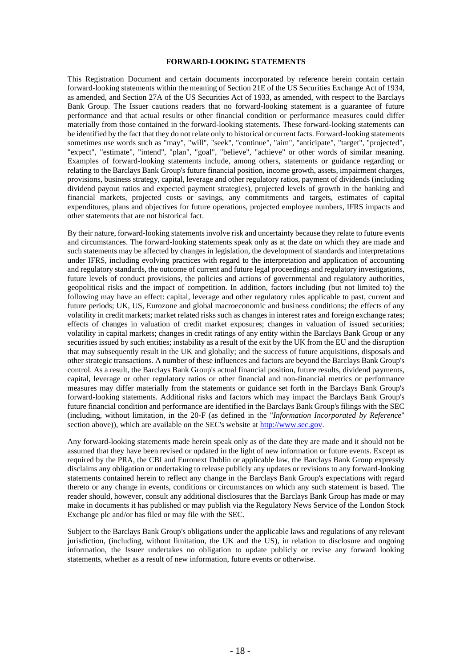#### **FORWARD-LOOKING STATEMENTS**

This Registration Document and certain documents incorporated by reference herein contain certain forward-looking statements within the meaning of Section 21E of the US Securities Exchange Act of 1934, as amended, and Section 27A of the US Securities Act of 1933, as amended, with respect to the Barclays Bank Group. The Issuer cautions readers that no forward-looking statement is a guarantee of future performance and that actual results or other financial condition or performance measures could differ materially from those contained in the forward-looking statements. These forward-looking statements can be identified by the fact that they do not relate only to historical or current facts. Forward-looking statements sometimes use words such as "may", "will", "seek", "continue", "aim", "anticipate", "target", "projected", "expect", "estimate", "intend", "plan", "goal", "believe", "achieve" or other words of similar meaning. Examples of forward-looking statements include, among others, statements or guidance regarding or relating to the Barclays Bank Group's future financial position, income growth, assets, impairment charges, provisions, business strategy, capital, leverage and other regulatory ratios, payment of dividends (including dividend payout ratios and expected payment strategies), projected levels of growth in the banking and financial markets, projected costs or savings, any commitments and targets, estimates of capital expenditures, plans and objectives for future operations, projected employee numbers, IFRS impacts and other statements that are not historical fact.

By their nature, forward-looking statementsinvolve risk and uncertainty because they relate to future events and circumstances. The forward-looking statements speak only as at the date on which they are made and such statements may be affected by changes in legislation, the development of standards and interpretations under IFRS, including evolving practices with regard to the interpretation and application of accounting and regulatory standards, the outcome of current and future legal proceedings and regulatory investigations, future levels of conduct provisions, the policies and actions of governmental and regulatory authorities, geopolitical risks and the impact of competition. In addition, factors including (but not limited to) the following may have an effect: capital, leverage and other regulatory rules applicable to past, current and future periods; UK, US, Eurozone and global macroeconomic and business conditions; the effects of any volatility in credit markets; market related risks such as changes in interest rates and foreign exchange rates; effects of changes in valuation of credit market exposures; changes in valuation of issued securities; volatility in capital markets; changes in credit ratings of any entity within the Barclays Bank Group or any securities issued by such entities; instability as a result of the exit by the UK from the EU and the disruption that may subsequently result in the UK and globally; and the success of future acquisitions, disposals and other strategic transactions. A number of these influences and factors are beyond the Barclays Bank Group's control. As a result, the Barclays Bank Group's actual financial position, future results, dividend payments, capital, leverage or other regulatory ratios or other financial and non-financial metrics or performance measures may differ materially from the statements or guidance set forth in the Barclays Bank Group's forward-looking statements. Additional risks and factors which may impact the Barclays Bank Group's future financial condition and performance are identified in the Barclays Bank Group's filings with the SEC (including, without limitation, in the 20-F (as defined in the "*Information Incorporated by Reference*" section above)), which are available on the SEC's website at [http://www.sec.gov.](http://www.sec.gov/)

Any forward-looking statements made herein speak only as of the date they are made and it should not be assumed that they have been revised or updated in the light of new information or future events. Except as required by the PRA, the CBI and Euronext Dublin or applicable law, the Barclays Bank Group expressly disclaims any obligation or undertaking to release publicly any updates or revisions to any forward-looking statements contained herein to reflect any change in the Barclays Bank Group's expectations with regard thereto or any change in events, conditions or circumstances on which any such statement is based. The reader should, however, consult any additional disclosures that the Barclays Bank Group has made or may make in documents it has published or may publish via the Regulatory News Service of the London Stock Exchange plc and/or has filed or may file with the SEC.

Subject to the Barclays Bank Group's obligations under the applicable laws and regulations of any relevant jurisdiction, (including, without limitation, the UK and the US), in relation to disclosure and ongoing information, the Issuer undertakes no obligation to update publicly or revise any forward looking statements, whether as a result of new information, future events or otherwise.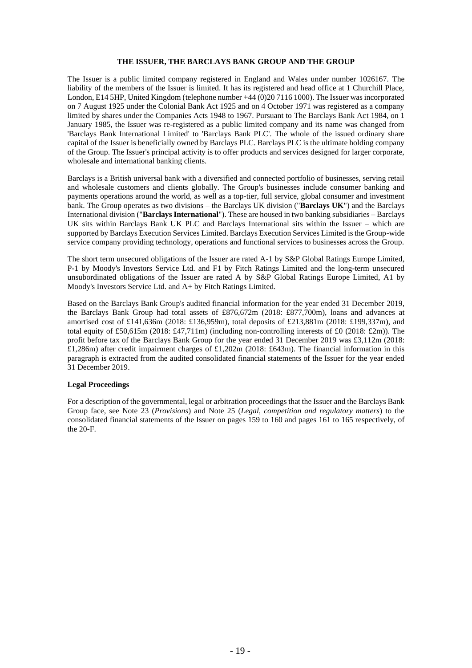### **THE ISSUER, THE BARCLAYS BANK GROUP AND THE GROUP**

The Issuer is a public limited company registered in England and Wales under number 1026167. The liability of the members of the Issuer is limited. It has its registered and head office at 1 Churchill Place, London, E14 5HP, United Kingdom (telephone number +44 (0)20 7116 1000). The Issuer was incorporated on 7 August 1925 under the Colonial Bank Act 1925 and on 4 October 1971 was registered as a company limited by shares under the Companies Acts 1948 to 1967. Pursuant to The Barclays Bank Act 1984, on 1 January 1985, the Issuer was re-registered as a public limited company and its name was changed from 'Barclays Bank International Limited' to 'Barclays Bank PLC'. The whole of the issued ordinary share capital of the Issuer is beneficially owned by Barclays PLC. Barclays PLC is the ultimate holding company of the Group. The Issuer's principal activity is to offer products and services designed for larger corporate, wholesale and international banking clients.

Barclays is a British universal bank with a diversified and connected portfolio of businesses, serving retail and wholesale customers and clients globally. The Group's businesses include consumer banking and payments operations around the world, as well as a top-tier, full service, global consumer and investment bank. The Group operates as two divisions – the Barclays UK division ("**Barclays UK**") and the Barclays International division ("**Barclays International**"). These are housed in two banking subsidiaries – Barclays UK sits within Barclays Bank UK PLC and Barclays International sits within the Issuer – which are supported by Barclays Execution Services Limited. Barclays Execution Services Limited is the Group-wide service company providing technology, operations and functional services to businesses across the Group.

The short term unsecured obligations of the Issuer are rated A-1 by S&P Global Ratings Europe Limited, P-1 by Moody's Investors Service Ltd. and F1 by Fitch Ratings Limited and the long-term unsecured unsubordinated obligations of the Issuer are rated A by S&P Global Ratings Europe Limited, A1 by Moody's Investors Service Ltd. and A+ by Fitch Ratings Limited.

Based on the Barclays Bank Group's audited financial information for the year ended 31 December 2019, the Barclays Bank Group had total assets of £876,672m (2018: £877,700m), loans and advances at amortised cost of £141,636m (2018: £136,959m), total deposits of £213,881m (2018: £199,337m), and total equity of £50,615m (2018: £47,711m) (including non-controlling interests of £0 (2018: £2m)). The profit before tax of the Barclays Bank Group for the year ended 31 December 2019 was £3,112m (2018: £1,286m) after credit impairment charges of £1,202m (2018: £643m). The financial information in this paragraph is extracted from the audited consolidated financial statements of the Issuer for the year ended 31 December 2019.

#### **Legal Proceedings**

For a description of the governmental, legal or arbitration proceedings that the Issuer and the Barclays Bank Group face, see Note 23 (*Provisions*) and Note 25 (*Legal, competition and regulatory matters*) to the consolidated financial statements of the Issuer on pages 159 to 160 and pages 161 to 165 respectively, of the 20-F.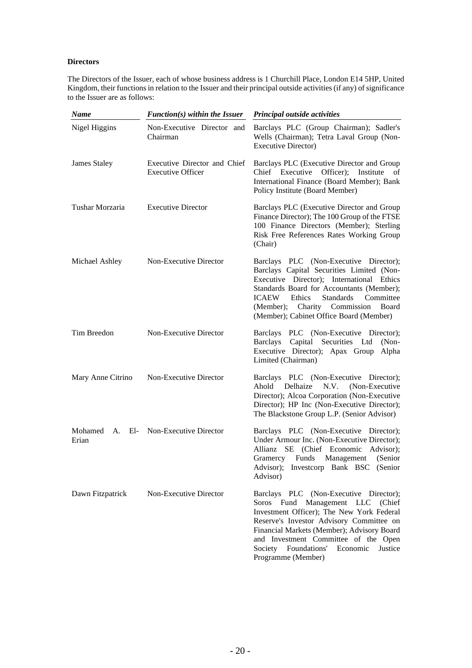## **Directors**

The Directors of the Issuer, each of whose business address is 1 Churchill Place, London E14 5HP, United Kingdom, their functions in relation to the Issuer and their principal outside activities (if any) of significance to the Issuer are as follows:

| <b>Name</b>         | $Function(s)$ within the Issuer                          | <b>Principal outside activities</b>                                                                                                                                                                                                                                                                                               |
|---------------------|----------------------------------------------------------|-----------------------------------------------------------------------------------------------------------------------------------------------------------------------------------------------------------------------------------------------------------------------------------------------------------------------------------|
| Nigel Higgins       | Non-Executive Director and<br>Chairman                   | Barclays PLC (Group Chairman); Sadler's<br>Wells (Chairman); Tetra Laval Group (Non-<br><b>Executive Director</b> )                                                                                                                                                                                                               |
| <b>James Staley</b> | Executive Director and Chief<br><b>Executive Officer</b> | Barclays PLC (Executive Director and Group<br>Chief Executive Officer);<br>Institute<br>οf<br>International Finance (Board Member); Bank<br>Policy Institute (Board Member)                                                                                                                                                       |
| Tushar Morzaria     | <b>Executive Director</b>                                | Barclays PLC (Executive Director and Group<br>Finance Director); The 100 Group of the FTSE<br>100 Finance Directors (Member); Sterling<br>Risk Free References Rates Working Group<br>(Chair)                                                                                                                                     |
| Michael Ashley      | Non-Executive Director                                   | Barclays PLC (Non-Executive Director);<br>Barclays Capital Securities Limited (Non-<br>Executive Director); International Ethics<br>Standards Board for Accountants (Member);<br><b>ICAEW</b><br>Ethics<br><b>Standards</b><br>Committee<br>(Member); Charity Commission<br>Board<br>(Member); Cabinet Office Board (Member)      |
| Tim Breedon         | Non-Executive Director                                   | Barclays PLC (Non-Executive Director);<br>Barclays Capital Securities Ltd<br>$(Non-$<br>Executive Director); Apax Group<br>Alpha<br>Limited (Chairman)                                                                                                                                                                            |
| Mary Anne Citrino   | Non-Executive Director                                   | Barclays PLC (Non-Executive Director);<br>(Non-Executive<br>Ahold<br>Delhaize<br>N.V.<br>Director); Alcoa Corporation (Non-Executive<br>Director); HP Inc (Non-Executive Director);<br>The Blackstone Group L.P. (Senior Advisor)                                                                                                 |
| Mohamed<br>Erian    | A. El- Non-Executive Director                            | Barclays PLC (Non-Executive Director);<br>Under Armour Inc. (Non-Executive Director);<br>SE (Chief Economic<br>Allianz<br>Advisor);<br>Funds<br>Management<br>(Senior<br>Gramercy<br>Investcorp Bank BSC (Senior<br>Advisor);<br>Advisor)                                                                                         |
| Dawn Fitzpatrick    | Non-Executive Director                                   | Barclays PLC (Non-Executive Director);<br>Soros Fund Management LLC (Chief<br>Investment Officer); The New York Federal<br>Reserve's Investor Advisory Committee on<br>Financial Markets (Member); Advisory Board<br>and Investment Committee of the Open<br>Foundations'<br>Society<br>Economic<br>Justice<br>Programme (Member) |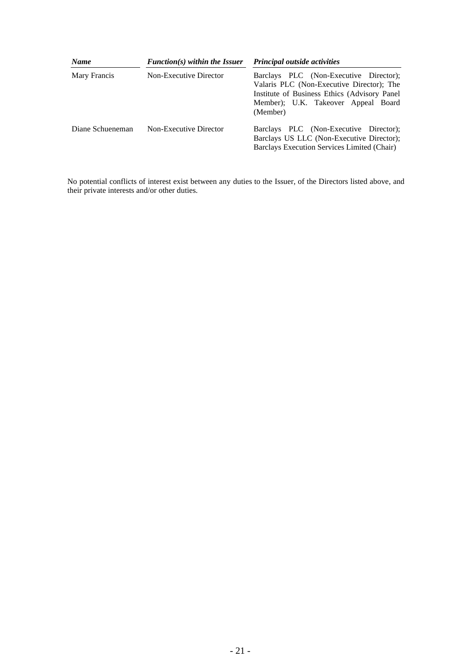| <b>Name</b>                            | $Function(s)$ within the Issuer | Principal outside activities                                                                                                                                                            |
|----------------------------------------|---------------------------------|-----------------------------------------------------------------------------------------------------------------------------------------------------------------------------------------|
| Mary Francis<br>Non-Executive Director |                                 | Barclays PLC (Non-Executive Director);<br>Valaris PLC (Non-Executive Director); The<br>Institute of Business Ethics (Advisory Panel)<br>Member); U.K. Takeover Appeal Board<br>(Member) |
| Diane Schueneman                       | Non-Executive Director          | Barclays PLC (Non-Executive Director);<br>Barclays US LLC (Non-Executive Director);<br>Barclays Execution Services Limited (Chair)                                                      |

No potential conflicts of interest exist between any duties to the Issuer, of the Directors listed above, and their private interests and/or other duties.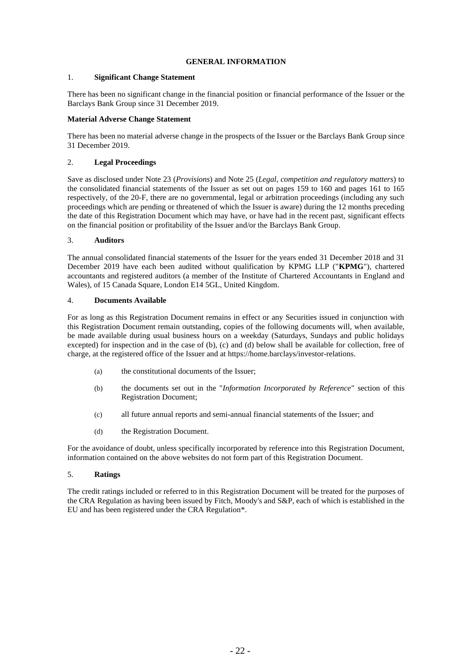## **GENERAL INFORMATION**

## 1. **Significant Change Statement**

There has been no significant change in the financial position or financial performance of the Issuer or the Barclays Bank Group since 31 December 2019.

## **Material Adverse Change Statement**

There has been no material adverse change in the prospects of the Issuer or the Barclays Bank Group since 31 December 2019.

## 2. **Legal Proceedings**

Save as disclosed under Note 23 (*Provisions*) and Note 25 (*Legal, competition and regulatory matters*) to the consolidated financial statements of the Issuer as set out on pages 159 to 160 and pages 161 to 165 respectively, of the 20-F, there are no governmental, legal or arbitration proceedings (including any such proceedings which are pending or threatened of which the Issuer is aware) during the 12 months preceding the date of this Registration Document which may have, or have had in the recent past, significant effects on the financial position or profitability of the Issuer and/or the Barclays Bank Group.

## 3. **Auditors**

The annual consolidated financial statements of the Issuer for the years ended 31 December 2018 and 31 December 2019 have each been audited without qualification by KPMG LLP ("**KPMG**"), chartered accountants and registered auditors (a member of the Institute of Chartered Accountants in England and Wales), of 15 Canada Square, London E14 5GL, United Kingdom.

### 4. **Documents Available**

For as long as this Registration Document remains in effect or any Securities issued in conjunction with this Registration Document remain outstanding, copies of the following documents will, when available, be made available during usual business hours on a weekday (Saturdays, Sundays and public holidays excepted) for inspection and in the case of (b), (c) and (d) below shall be available for collection, free of charge, at the registered office of the Issuer and at https://home.barclays/investor-relations.

- (a) the constitutional documents of the Issuer;
- (b) the documents set out in the "*Information Incorporated by Reference*" section of this Registration Document;
- (c) all future annual reports and semi-annual financial statements of the Issuer; and
- (d) the Registration Document.

For the avoidance of doubt, unless specifically incorporated by reference into this Registration Document, information contained on the above websites do not form part of this Registration Document.

## 5. **Ratings**

The credit ratings included or referred to in this Registration Document will be treated for the purposes of the CRA Regulation as having been issued by Fitch, Moody's and S&P, each of which is established in the EU and has been registered under the CRA Regulation\*.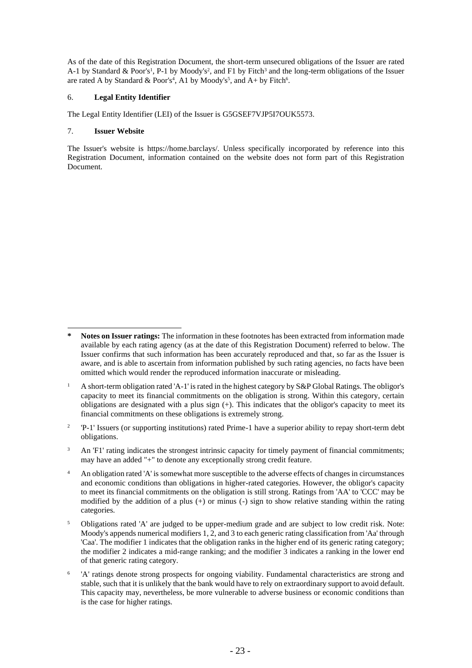As of the date of this Registration Document, the short-term unsecured obligations of the Issuer are rated A-1 by Standard & Poor's<sup>1</sup>, P-1 by Moody's<sup>2</sup>, and F1 by Fitch<sup>3</sup> and the long-term obligations of the Issuer are rated A by Standard & Poor's<sup>4</sup>, A1 by Moody's<sup>5</sup>, and A+ by Fitch<sup>6</sup>.

## 6. **Legal Entity Identifier**

The Legal Entity Identifier (LEI) of the Issuer is G5GSEF7VJP5I7OUK5573.

## 7. **Issuer Website**

The Issuer's website is https://home.barclays/. Unless specifically incorporated by reference into this Registration Document, information contained on the website does not form part of this Registration Document.

**<sup>\*</sup> Notes on Issuer ratings:** The information in these footnotes has been extracted from information made available by each rating agency (as at the date of this Registration Document) referred to below. The Issuer confirms that such information has been accurately reproduced and that, so far as the Issuer is aware, and is able to ascertain from information published by such rating agencies, no facts have been omitted which would render the reproduced information inaccurate or misleading.

<sup>&</sup>lt;sup>1</sup> A short-term obligation rated 'A-1' is rated in the highest category by S&P Global Ratings. The obligor's capacity to meet its financial commitments on the obligation is strong. Within this category, certain obligations are designated with a plus sign (+). This indicates that the obligor's capacity to meet its financial commitments on these obligations is extremely strong.

 $\overline{2}$ 'P-1' Issuers (or supporting institutions) rated Prime-1 have a superior ability to repay short-term debt obligations.

<sup>&</sup>lt;sup>3</sup> An 'F1' rating indicates the strongest intrinsic capacity for timely payment of financial commitments; may have an added "+" to denote any exceptionally strong credit feature.

<sup>&</sup>lt;sup>4</sup> An obligation rated 'A' is somewhat more susceptible to the adverse effects of changes in circumstances and economic conditions than obligations in higher-rated categories. However, the obligor's capacity to meet its financial commitments on the obligation is still strong. Ratings from 'AA' to 'CCC' may be modified by the addition of a plus  $(+)$  or minus  $(-)$  sign to show relative standing within the rating categories.

<sup>5</sup> Obligations rated 'A' are judged to be upper-medium grade and are subject to low credit risk. Note: Moody's appends numerical modifiers 1, 2, and 3 to each generic rating classification from 'Aa' through 'Caa'. The modifier 1 indicates that the obligation ranks in the higher end of its generic rating category; the modifier 2 indicates a mid-range ranking; and the modifier 3 indicates a ranking in the lower end of that generic rating category.

<sup>6</sup> 'A' ratings denote strong prospects for ongoing viability. Fundamental characteristics are strong and stable, such that it is unlikely that the bank would have to rely on extraordinary support to avoid default. This capacity may, nevertheless, be more vulnerable to adverse business or economic conditions than is the case for higher ratings.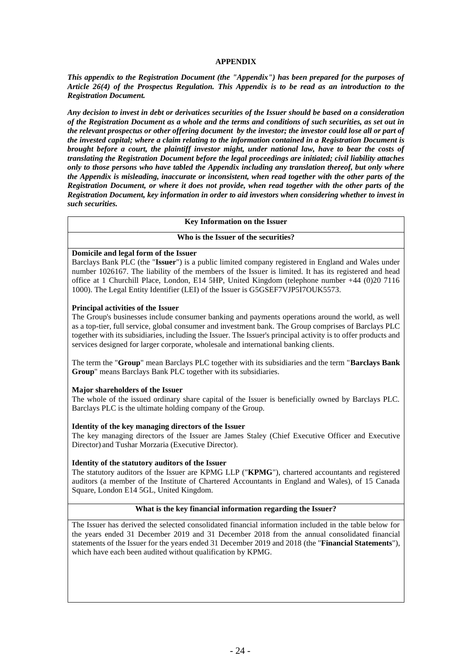## **APPENDIX**

*This appendix to the Registration Document (the "Appendix") has been prepared for the purposes of Article 26(4) of the Prospectus Regulation. This Appendix is to be read as an introduction to the Registration Document.* 

*Any decision to invest in debt or derivatices securities of the Issuer should be based on a consideration of the Registration Document as a whole and the terms and conditions of such securities, as set out in the relevant prospectus or other offering document by the investor; the investor could lose all or part of the invested capital; where a claim relating to the information contained in a Registration Document is brought before a court, the plaintiff investor might, under national law, have to bear the costs of translating the Registration Document before the legal proceedings are initiated; civil liability attaches only to those persons who have tabled the Appendix including any translation thereof, but only where the Appendix is misleading, inaccurate or inconsistent, when read together with the other parts of the Registration Document, or where it does not provide, when read together with the other parts of the Registration Document, key information in order to aid investors when considering whether to invest in such securities.*

#### **Key Information on the Issuer**

### **Who is the Issuer of the securities?**

## **Domicile and legal form of the Issuer**

Barclays Bank PLC (the "**Issuer**") is a public limited company registered in England and Wales under number 1026167. The liability of the members of the Issuer is limited. It has its registered and head office at 1 Churchill Place, London, E14 5HP, United Kingdom (telephone number +44 (0)20 7116 1000). The Legal Entity Identifier (LEI) of the Issuer is G5GSEF7VJP5I7OUK5573.

### **Principal activities of the Issuer**

The Group's businesses include consumer banking and payments operations around the world, as well as a top-tier, full service, global consumer and investment bank. The Group comprises of Barclays PLC together with its subsidiaries, including the Issuer. The Issuer's principal activity is to offer products and services designed for larger corporate, wholesale and international banking clients.

The term the "**Group**" mean Barclays PLC together with its subsidiaries and the term "**Barclays Bank Group**" means Barclays Bank PLC together with its subsidiaries.

### **Major shareholders of the Issuer**

The whole of the issued ordinary share capital of the Issuer is beneficially owned by Barclays PLC. Barclays PLC is the ultimate holding company of the Group.

### **Identity of the key managing directors of the Issuer**

The key managing directors of the Issuer are James Staley (Chief Executive Officer and Executive Director) and Tushar Morzaria (Executive Director).

#### **Identity of the statutory auditors of the Issuer**

The statutory auditors of the Issuer are KPMG LLP ("**KPMG**"), chartered accountants and registered auditors (a member of the Institute of Chartered Accountants in England and Wales), of 15 Canada Square, London E14 5GL, United Kingdom.

## **What is the key financial information regarding the Issuer?**

The Issuer has derived the selected consolidated financial information included in the table below for the years ended 31 December 2019 and 31 December 2018 from the annual consolidated financial statements of the Issuer for the years ended 31 December 2019 and 2018 (the "**Financial Statements**"), which have each been audited without qualification by KPMG.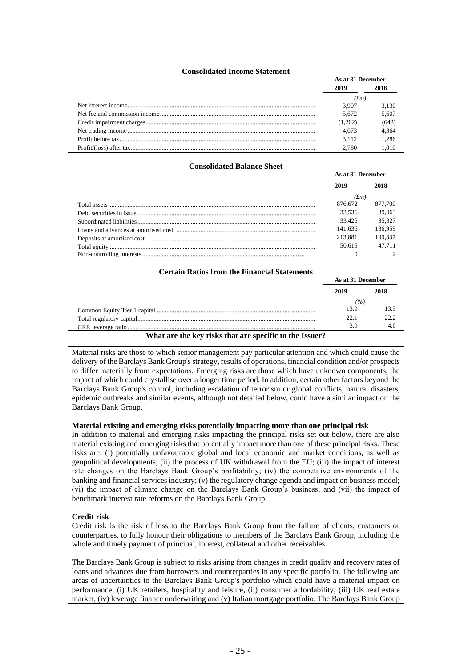| <b>Consolidated Income Statement</b>                |         | As at 31 December |  |
|-----------------------------------------------------|---------|-------------------|--|
|                                                     | 2019    | 2018              |  |
|                                                     |         | (fm)              |  |
|                                                     | 3,907   | 3,130             |  |
|                                                     | 5,672   | 5.607             |  |
|                                                     | (1,202) | (643)             |  |
|                                                     | 4,073   | 4,364             |  |
|                                                     | 3,112   | 1,286             |  |
|                                                     | 2,780   | 1,010             |  |
| <b>Consolidated Balance Sheet</b>                   |         | As at 31 December |  |
|                                                     | 2019    | 2018              |  |
|                                                     |         | (fm)              |  |
|                                                     | 876,672 | 877,700           |  |
|                                                     | 33.536  | 39,063            |  |
|                                                     | 33,425  | 35,327            |  |
|                                                     | 141,636 | 136,959           |  |
|                                                     | 213,881 | 199,337           |  |
|                                                     | 50,615  | 47,711            |  |
|                                                     | 0       | 2                 |  |
| <b>Certain Ratios from the Financial Statements</b> |         |                   |  |
|                                                     |         | As at 31 December |  |
|                                                     | 2019    | 2018              |  |
|                                                     |         | (%)               |  |
|                                                     | 13.9    | 13.5              |  |
|                                                     | 22.1    | 22.2.             |  |
|                                                     | 3.9     | 4.0               |  |

Material risks are those to which senior management pay particular attention and which could cause the delivery of the Barclays Bank Group's strategy, results of operations, financial condition and/or prospects to differ materially from expectations. Emerging risks are those which have unknown components, the impact of which could crystallise over a longer time period. In addition, certain other factors beyond the Barclays Bank Group's control, including escalation of terrorism or global conflicts, natural disasters, epidemic outbreaks and similar events, although not detailed below, could have a similar impact on the Barclays Bank Group.

### **Material existing and emerging risks potentially impacting more than one principal risk**

In addition to material and emerging risks impacting the principal risks set out below, there are also material existing and emerging risks that potentially impact more than one of these principal risks. These risks are: (i) potentially unfavourable global and local economic and market conditions, as well as geopolitical developments; (ii) the process of UK withdrawal from the EU; (iii) the impact of interest rate changes on the Barclays Bank Group's profitability; (iv) the competitive environments of the banking and financial services industry; (v) the regulatory change agenda and impact on business model; (vi) the impact of climate change on the Barclays Bank Group's business; and (vii) the impact of benchmark interest rate reforms on the Barclays Bank Group.

## **Credit risk**

Credit risk is the risk of loss to the Barclays Bank Group from the failure of clients, customers or counterparties, to fully honour their obligations to members of the Barclays Bank Group, including the whole and timely payment of principal, interest, collateral and other receivables.

The Barclays Bank Group is subject to risks arising from changes in credit quality and recovery rates of loans and advances due from borrowers and counterparties in any specific portfolio. The following are areas of uncertainties to the Barclays Bank Group's portfolio which could have a material impact on performance: (i) UK retailers, hospitality and leisure, (ii) consumer affordability, (iii) UK real estate market, (iv) leverage finance underwriting and (v) Italian mortgage portfolio. The Barclays Bank Group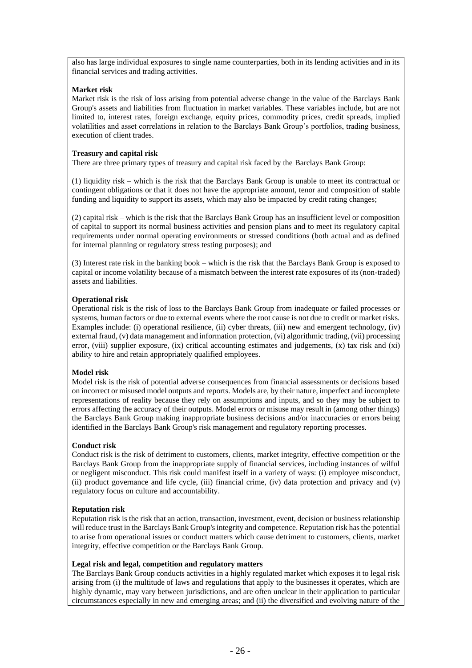also has large individual exposures to single name counterparties, both in its lending activities and in its financial services and trading activities.

## **Market risk**

Market risk is the risk of loss arising from potential adverse change in the value of the Barclays Bank Group's assets and liabilities from fluctuation in market variables. These variables include, but are not limited to, interest rates, foreign exchange, equity prices, commodity prices, credit spreads, implied volatilities and asset correlations in relation to the Barclays Bank Group's portfolios, trading business, execution of client trades.

## **Treasury and capital risk**

There are three primary types of treasury and capital risk faced by the Barclays Bank Group:

(1) liquidity risk – which is the risk that the Barclays Bank Group is unable to meet its contractual or contingent obligations or that it does not have the appropriate amount, tenor and composition of stable funding and liquidity to support its assets, which may also be impacted by credit rating changes;

(2) capital risk – which is the risk that the Barclays Bank Group has an insufficient level or composition of capital to support its normal business activities and pension plans and to meet its regulatory capital requirements under normal operating environments or stressed conditions (both actual and as defined for internal planning or regulatory stress testing purposes); and

(3) Interest rate risk in the banking book – which is the risk that the Barclays Bank Group is exposed to capital or income volatility because of a mismatch between the interest rate exposures of its (non-traded) assets and liabilities.

## **Operational risk**

Operational risk is the risk of loss to the Barclays Bank Group from inadequate or failed processes or systems, human factors or due to external events where the root cause is not due to credit or market risks. Examples include: (i) operational resilience, (ii) cyber threats, (iii) new and emergent technology, (iv) external fraud, (v) data management and information protection, (vi) algorithmic trading, (vii) processing error, (viii) supplier exposure, (ix) critical accounting estimates and judgements, (x) tax risk and (xi) ability to hire and retain appropriately qualified employees.

## **Model risk**

Model risk is the risk of potential adverse consequences from financial assessments or decisions based on incorrect or misused model outputs and reports. Models are, by their nature, imperfect and incomplete representations of reality because they rely on assumptions and inputs, and so they may be subject to errors affecting the accuracy of their outputs. Model errors or misuse may result in (among other things) the Barclays Bank Group making inappropriate business decisions and/or inaccuracies or errors being identified in the Barclays Bank Group's risk management and regulatory reporting processes.

### **Conduct risk**

Conduct risk is the risk of detriment to customers, clients, market integrity, effective competition or the Barclays Bank Group from the inappropriate supply of financial services, including instances of wilful or negligent misconduct. This risk could manifest itself in a variety of ways: (i) employee misconduct, (ii) product governance and life cycle, (iii) financial crime, (iv) data protection and privacy and (v) regulatory focus on culture and accountability.

### **Reputation risk**

Reputation risk is the risk that an action, transaction, investment, event, decision or business relationship will reduce trust in the Barclays Bank Group's integrity and competence. Reputation risk has the potential to arise from operational issues or conduct matters which cause detriment to customers, clients, market integrity, effective competition or the Barclays Bank Group.

### **Legal risk and legal, competition and regulatory matters**

The Barclays Bank Group conducts activities in a highly regulated market which exposes it to legal risk arising from (i) the multitude of laws and regulations that apply to the businesses it operates, which are highly dynamic, may vary between jurisdictions, and are often unclear in their application to particular circumstances especially in new and emerging areas; and (ii) the diversified and evolving nature of the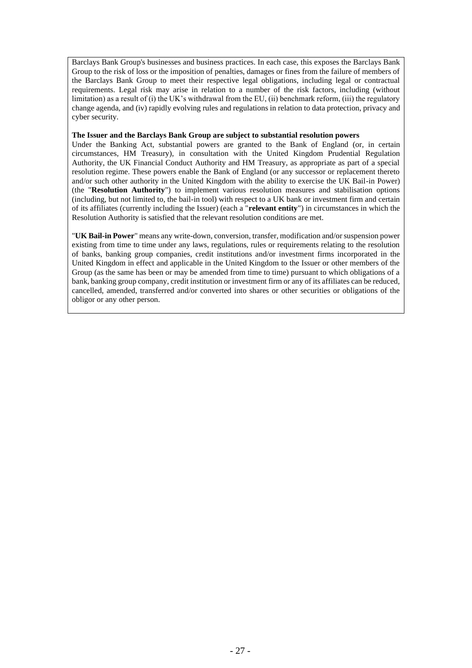Barclays Bank Group's businesses and business practices. In each case, this exposes the Barclays Bank Group to the risk of loss or the imposition of penalties, damages or fines from the failure of members of the Barclays Bank Group to meet their respective legal obligations, including legal or contractual requirements. Legal risk may arise in relation to a number of the risk factors, including (without limitation) as a result of (i) the UK's withdrawal from the EU, (ii) benchmark reform, (iii) the regulatory change agenda, and (iv) rapidly evolving rules and regulations in relation to data protection, privacy and cyber security.

#### **The Issuer and the Barclays Bank Group are subject to substantial resolution powers**

Under the Banking Act, substantial powers are granted to the Bank of England (or, in certain circumstances, HM Treasury), in consultation with the United Kingdom Prudential Regulation Authority, the UK Financial Conduct Authority and HM Treasury, as appropriate as part of a special resolution regime. These powers enable the Bank of England (or any successor or replacement thereto and/or such other authority in the United Kingdom with the ability to exercise the UK Bail-in Power) (the "**Resolution Authority**") to implement various resolution measures and stabilisation options (including, but not limited to, the bail-in tool) with respect to a UK bank or investment firm and certain of its affiliates (currently including the Issuer) (each a "**relevant entity**") in circumstances in which the Resolution Authority is satisfied that the relevant resolution conditions are met.

"**UK Bail-in Power**" means any write-down, conversion, transfer, modification and/or suspension power existing from time to time under any laws, regulations, rules or requirements relating to the resolution of banks, banking group companies, credit institutions and/or investment firms incorporated in the United Kingdom in effect and applicable in the United Kingdom to the Issuer or other members of the Group (as the same has been or may be amended from time to time) pursuant to which obligations of a bank, banking group company, credit institution or investment firm or any of its affiliates can be reduced, cancelled, amended, transferred and/or converted into shares or other securities or obligations of the obligor or any other person.